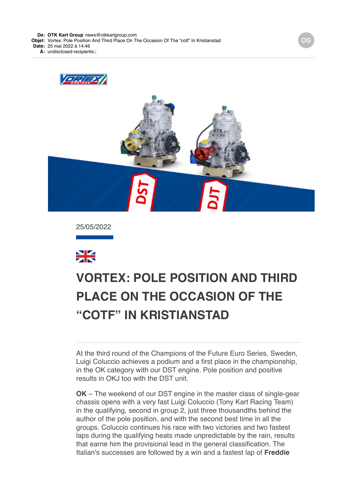**De: OTK Kart Group** news@otkkartgroup.com

**Objet:** Vortex: Pole Position And Third Place On The Occasion Of The "cotf" In Kristianstad

**Date:** 25 mai 2022 à 14:46

**À:** undisclosed-recipients:;





25/05/2022



# **[VORTEX: POLE POSITION AND THIRD](data:text/html;charset=utf-8;base64,%20PGh0bWwgeG1sbnM9Imh0dHA6Ly93d3cudzMub3JnLzE5OTkveGh0bWwiIGNsYXNzPSJhcHBsZS1tYWlsLWltcGxpY2l0LWRhcmstc3VwcG9ydCIgc3R5bGU9Inpvb206IDE7Ij48aGVhZD48c3R5bGUgdHlwZT0idGV4dC9jc3MiPi8qCiAqICBNVUlXZWJEb2N1bWVudC5jc3MKICogIE1haWwKICoKICogIENvcHlyaWdodCAyMDEyIEFwcGxlIEluYy4gQWxsIHJpZ2h0cyByZXNlcnZlZC4gCiAqLwoKKiB7CiAgICAtd2Via2l0LXVzZXItbW9kaWZ5OiBpbml0aWFsICFpbXBvcnRhbnQ7Cn0KCmh0bWwgewogICAgZm9udDogMTIuMDAwMDAwcHggSGVsdmV0aWNhOwp9Cgpib2R5IHsKICAgIG1hcmdpbjogMThweCAyNXB4IDIycHg7CiAgICBwYWRkaW5nOiAwOwogICAgd29yZC13cmFwOiBicmVhay13b3JkOwogICAgd29yZC1icmVhazogYnJlYWstd29yZDsKIH0KCnRhYmxlIHsKICAgIHdvcmQtYnJlYWs6IG5vcm1hbDsKfQoKLyogQXR0YWNobWVudHMgKi8KCmltZy5BcHBsZS1zbWFsbC1pbWFnZSB7CiAgICB3aWR0aDozMjBweDsKfQoKaW1nLkFwcGxlLW1lZGl1bS1pbWFnZSB7CiAgICB3aWR0aDo2NDBweDsKfQoKaW1nLkFwcGxlLWxhcmdlLWltYWdlIHsKICAgIHdpZHRoOjEyODBweDsKfQoKQC13ZWJraXQta2V5ZnJhbWVzIEFwcGxlLWRpc2NyZXRlLXNwaW5uZXIgewogICAgLyogVGhlc2Uga2V5ZnJhbWVzIHRyeSB0byByZXByb2R1Y2UgdGhlIDE2IGRpc2NyZXRlIHN0ZXBzIHNlZW4gaW4gYSBzdGFuZGFyZCBzeXN0ZW0gcHJvZ3Jlc3MgaW5kaWNhdG9yLiAqLwogICAgMCUgewogICAgICAgIGJhY2tncm91bmQtaW1hZ2U6IHVybCgneC1idW5kbGUtcmVzb3VyY2U6SW5kZXRlcm1pbmF0ZVByb2dyZXNzU3Bpbm5lcjEucGRmJyk7CiAgICB9CiAgICA2LjI1MCUgewogICAgICAgIGJhY2tncm91bmQtaW1hZ2U6IHVybCgneC1idW5kbGUtcmVzb3VyY2U6SW5kZXRlcm1pbmF0ZVByb2dyZXNzU3Bpbm5lcjIucGRmJyk7CiAgICB9CiAgICAxMi41MDAlIHsKICAgICAgICBiYWNrZ3JvdW5kLWltYWdlOiB1cmwoJ3gtYnVuZGxlLXJlc291cmNlOkluZGV0ZXJtaW5hdGVQcm9ncmVzc1NwaW5uZXIzLnBkZicpOwogICAgfQogICAgMTguNzUwJSB7CiAgICAgICAgYmFja2dyb3VuZC1pbWFnZTogdXJsKCd4LWJ1bmRsZS1yZXNvdXJjZTpJbmRldGVybWluYXRlUHJvZ3Jlc3NTcGlubmVyNC5wZGYnKTsKICAgIH0KICAgIDI1LjAwMCUgewogICAgICAgIGJhY2tncm91bmQtaW1hZ2U6IHVybCgneC1idW5kbGUtcmVzb3VyY2U6SW5kZXRlcm1pbmF0ZVByb2dyZXNzU3Bpbm5lcjUucGRmJyk7CiAgICB9CiAgICAzMS4yNTAlIHsKICAgICAgICBiYWNrZ3JvdW5kLWltYWdlOiB1cmwoJ3gtYnVuZGxlLXJlc291cmNlOkluZGV0ZXJtaW5hdGVQcm9ncmVzc1NwaW5uZXI2LnBkZicpOwogICAgfQogICAgMzcuNTAwJSB7CiAgICAgICAgYmFja2dyb3VuZC1pbWFnZTogdXJsKCd4LWJ1bmRsZS1yZXNvdXJjZTpJbmRldGVybWluYXRlUHJvZ3Jlc3NTcGlubmVyNy5wZGYnKTsKICAgIH0KICAgIDQzLjc1MCUgewogICAgICAgIGJhY2tncm91bmQtaW1hZ2U6IHVybCgneC1idW5kbGUtcmVzb3VyY2U6SW5kZXRlcm1pbmF0ZVByb2dyZXNzU3Bpbm5lcjgucGRmJyk7CiAgICB9CiAgICA1MC4wMDAlIHsKICAgICAgICBiYWNrZ3JvdW5kLWltYWdlOiB1cmwoJ3gtYnVuZGxlLXJlc291cmNlOkluZGV0ZXJtaW5hdGVQcm9ncmVzc1NwaW5uZXI5LnBkZicpOwogICAgfQogICAgNTYuMjUwJSB7CiAgICAgICAgYmFja2dyb3VuZC1pbWFnZTogdXJsKCd4LWJ1bmRsZS1yZXNvdXJjZTpJbmRldGVybWluYXRlUHJvZ3Jlc3NTcGlubmVyMTAucGRmJyk7CiAgICB9CiAgICA2Mi41MDAlIHsKICAgICAgICBiYWNrZ3JvdW5kLWltYWdlOiB1cmwoJ3gtYnVuZGxlLXJlc291cmNlOkluZGV0ZXJtaW5hdGVQcm9ncmVzc1NwaW5uZXIxMS5wZGYnKTsKICAgIH0KICAgIDY4Ljc1MCUgewogICAgICAgIGJhY2tncm91bmQtaW1hZ2U6IHVybCgneC1idW5kbGUtcmVzb3VyY2U6SW5kZXRlcm1pbmF0ZVByb2dyZXNzU3Bpbm5lcjEyLnBkZicpOwogICAgfQogICAgNzUuMDAwJSB7CiAgICAgICAgYmFja2dyb3VuZC1pbWFnZTogdXJsKCd4LWJ1bmRsZS1yZXNvdXJjZTpJbmRldGVybWluYXRlUHJvZ3Jlc3NTcGlubmVyMTMucGRmJyk7CiAgICB9CiAgICA4MS4yNTAlIHsKICAgICAgICBiYWNrZ3JvdW5kLWltYWdlOiB1cmwoJ3gtYnVuZGxlLXJlc291cmNlOkluZGV0ZXJtaW5hdGVQcm9ncmVzc1NwaW5uZXIxNC5wZGYnKTsKICAgIH0KICAgIDg3LjUwMCUgewogICAgICAgIGJhY2tncm91bmQtaW1hZ2U6IHVybCgneC1idW5kbGUtcmVzb3VyY2U6SW5kZXRlcm1pbmF0ZVByb2dyZXNzU3Bpbm5lcjE1LnBkZicpOwogICAgfQogICAgOTMuNzUwJSB7CiAgICAgICAgYmFja2dyb3VuZC1pbWFnZTogdXJsKCd4LWJ1bmRsZS1yZXNvdXJjZTpJbmRldGVybWluYXRlUHJvZ3Jlc3NTcGlubmVyMTYucGRmJyk7CiAgICB9CiAgICAxMDAlIHsKICAgICAgICBiYWNrZ3JvdW5kLWltYWdlOiB1cmwoJ3gtYnVuZGxlLXJlc291cmNlOkluZGV0ZXJtaW5hdGVQcm9ncmVzc1NwaW5uZXIxLnBkZicpOwogICAgfQp9CgpkaXYuQXBwbGUtaW5kZXRlcm1pbmF0ZS1wcm9ncmVzcy1zcGlubmVyIHsKICAgIHdpZHRoOiAxNnB4OwogICAgaGVpZ2h0OiAxNnB4OwogICAgYmFja2dyb3VuZC1pbWFnZTogdXJsKCd4LWJ1bmRsZS1yZXNvdXJjZTpJbmRldGVybWluYXRlUHJvZ3Jlc3NTcGlubmVyMS5wZGYnKTsKICAgIGJhY2tncm91bmQtcmVwZWF0OiBuby1yZXBlYXQ7CiAgICBiYWNrZ3JvdW5kLXNpemU6IDEwMCUgMTAwJTsKICAgIC13ZWJraXQtYW5pbWF0aW9uLW5hbWU6IEFwcGxlLWRpc2NyZXRlLXNwaW5uZXI7CiAgICAtd2Via2l0LWFuaW1hdGlvbi1kdXJhdGlvbjogMXM7CiAgICAtd2Via2l0LWFuaW1hdGlvbi1pdGVyYXRpb24tY291bnQ6IGluZmluaXRlOwogICAgLXdlYmtpdC1hbmltYXRpb24tdGltaW5nLWZ1bmN0aW9uOiBzdGVwLXN0YXJ0Owp9CgovKiBMaXN0IFN0eWxlcyAqLwoKdWwuQXBwbGUtZGFzaC1saXN0LCB1bC5BcHBsZS1kYXNoLWxpc3QgdWwgewogICAgbGlzdC1zdHlsZS10eXBlOiBub25lOwp9CiAgICAKdWwuQXBwbGUtZGFzaC1saXN0IGxpOmJlZm9yZSB7CiAgICBjb250ZW50OiAiXDIwMTMiOwogICAgcG9zaXRpb246IGFic29sdXRlOwogICAgbWFyZ2luOiAwIC0xLjI1ZW07Cn0KCi8qIE9yZGVyZWQgTGlzdHM6IFN1cHBvcnQgOSBkZWVwLCBsaWtlIFBhZ2VzLCB0aGVuIGZhbGwgYmFjayB0byBkYXNoZXMgKi8Kb2wsIG9sIG9sIG9sIG9sLCBvbCBvbCBvbCBvbCBvbCBvbCBvbCB7CiAgICBsaXN0LXN0eWxlLXR5cGU6IGRlY2ltYWw7Cn0KCm9sIG9sLCBvbCBvbCBvbCBvbCBvbCwgb2wgb2wgb2wgb2wgb2wgb2wgb2wgb2wgewogICAgbGlzdC1zdHlsZS10eXBlOiBsb3dlci1hbHBoYTsKfQoKb2wgb2wgb2wsIG9sIG9sIG9sIG9sIG9sIG9sLCBvbCBvbCBvbCBvbCBvbCBvbCBvbCBvbCBvbCB7CiAgICBsaXN0LXN0eWxlLXR5cGU6IGxvd2VyLXJvbWFuOwp9CgpvbCBvbCBvbCBvbCBvbCBvbCBvbCBvbCBvbCBvbCB7CiAgICBsaXN0LXN0eWxlLXR5cGU6IG5vbmU7Cn0KCm9sIG9sIG9sIG9sIG9sIG9sIG9sIG9sIG9sIG9sIGxpOmJlZm9yZSB7CiAgICBjb250ZW50OiAiXDIwMTMiOwogICAgcG9zaXRpb246IGFic29sdXRlOwogICAgLXdlYmtpdC1tYXJnaW4tc3RhcnQ6IC0xLjI1ZW07Cn0KCi8qIE1haWwtc3BlY2lmaWMgU3R5bGVzICovCgphLngtYXBwbGUtbWFpbC1zZWUtbW9yZSwgYS54LWFwcGxlLW1haWwtc2VlLW1vcmUtZnJvbSB7CiAgICBmb250LXNpemU6IDEwcHg7CiAgICBmb250LWZhbWlseTogSGVsdmV0aWNhOwogICAgdGV4dC1kZWNvcmF0aW9uOiBub25lOwogICAgY29sb3I6IC1hcHBsZS1zeXN0ZW0tYmx1ZTsKICAgIC1hcHBsZS1jb2xvci1maWx0ZXI6IG5vbmU7Cn0KCmEueC1hcHBsZS1tYWlsLXNlZS1tb3JlIHsKICAgIGZvbnQtc2l6ZTogMTFweDsKICAgIGZvbnQtd2VpZ2h0OiBib2xkOwp9Cgpib2R5LkFwcGxlUGxhaW5UZXh0Qm9keSB7CiAgICAtd2Via2l0LW5ic3AtbW9kZTogc3BhY2U7CiAgICBmb250LXNpemU6IGluaGVyaXRweDsKICAgIGZvbnQtZmFtaWx5OiBpbmhlcml0Owp9Cgpib2R5LlNpbmdsZXRvbiB7CiAgICBtYXJnaW4tbGVmdDogMzZweDsKfQoKLngtYXBwbGUtbWFpbGRyb3BiYW5uZXIgewogICAgZGlzcGxheTogbm9uZTsKfQoKYmxvY2txdW90ZVt0eXBlPWNpdGVdIHsKICAgIHBhZGRpbmctbGVmdDogOHB4OwogICAgbWFyZ2luOiAwOwogICAgYm9yZGVyLWxlZnQtd2lkdGg6IDJweDsKICAgIGJvcmRlci1sZWZ0LXN0eWxlOiBzb2xpZDsKICAgIGJvcmRlci1sZWZ0LWNvbG9yOiByZ2JhKDg4LCA4NiwgMjE0LCAyNTUpOwogICAgY29sb3I6IHJnYmEoODgsIDg2LCAyMTQsIDI1NSk7Cn0KCmJsb2NrcXVvdGVbdHlwZT1jaXRlXSBibG9ja3F1b3RlW3R5cGU9Y2l0ZV0gewogICAgYm9yZGVyLWxlZnQtd2lkdGg6IDJweDsKICAgIGJvcmRlci1sZWZ0LXN0eWxlOiBzb2xpZDsKICAgIGJvcmRlci1sZWZ0LWNvbG9yOiByZ2JhKDAsIDE3NSwgMjA1LCAyNTUpOwogICAgY29sb3I6IHJnYmEoMCwgMTc1LCAyMDUsIDI1NSk7Cn0KCmJsb2NrcXVvdGVbdHlwZT1jaXRlXSBibG9ja3F1b3RlW3R5cGU9Y2l0ZV0gYmxvY2txdW90ZVt0eXBlPWNpdGVdIHsKICAgIGJvcmRlci1sZWZ0LXdpZHRoOiAycHg7CiAgICBib3JkZXItbGVmdC1zdHlsZTogc29saWQ7CiAgICBib3JkZXItbGVmdC1jb2xvcjogcmdiYSgxOCwgMTkyLCAxNCwgMjU1KTsKICAgIGNvbG9yOiByZ2JhKDE4LCAxOTIsIDE0LCAyNTUpOwp9CgppbWcuQXBwbGUtd2ViLWF0dGFjaG1lbnQgewogICAgdmVydGljYWwtYWxpZ246IHRvcCAhaW1wb3J0YW50OwogICAgbWF4LXdpZHRoOiAxMDAlICFpbXBvcnRhbnQ7Cn0KCnZpZGVvLkFwcGxlLXdlYi1hdHRhY2htZW50IHsKICAgIG1heC13aWR0aDogMTAwJSAhaW1wb3J0YW50Owp9CgppbWcuQXBwbGUtZWRnZS10by1lZGdlLXZpc3VhbC1tZWRpYSwgdmlkZW8uQXBwbGUtZWRnZS10by1lZGdlLXZpc3VhbC1tZWRpYSB7CiAgICBkaXNwbGF5OiBibG9jazsKICAgIG1heC13aWR0aDogY2FsYygxMDAlICsgNTBweCkgIWltcG9ydGFudDsKICAgIG1hcmdpbjogMCAtMjVweDsKfQoKaW1nLkFwcGxlLWVkZ2UtdG8tZWRnZS12aXN1YWwtbWVkaWEuU2luZ2xldG9uLCB2aWRlby5BcHBsZS1lZGdlLXRvLWVkZ2UtdmlzdWFsLW1lZGlhLlNpbmdsZXRvbiB7CiAgICBkaXNwbGF5OiBibG9jazsKICAgIG1heC13aWR0aDogY2FsYygxMDAlICsgNjFweCkgIWltcG9ydGFudDsKICAgIG1hcmdpbjogMCAtMjVweCAwIC0zNnB4Owp9CgoKLyogTWVkaWEgUXVlcnkgT3ZlcnJpZGVzIChMZWF2ZSBhdCBib3R0b20pICovCgpAbWVkaWEgc2NyZWVuIGFuZCAocHJlZmVycy1jb2xvci1zY2hlbWU6IGRhcmspIHsKICAgIC8qIEltcGxpY2l0IChjb2xvci1maWx0ZXJlZCkgZGFyayBtb2RlICovCiAgICA6cm9vdC5hcHBsZS1tYWlsLWltcGxpY2l0LWRhcmstc3VwcG9ydCB7CiAgICAgICAgLWFwcGxlLWNvbG9yLWZpbHRlcjogYXBwbGUtaW52ZXJ0LWxpZ2h0bmVzcygpOwogICAgICAgIC0tcXVvdGUtYmFyLWNvbG9yLWxldmVsLTE6IC1hcHBsZS1zeXN0ZW0tcHVycGxlOwogICAgICAgIC0tcXVvdGUtdGV4dC1jb2xvci1sZXZlbC0xOiAtYXBwbGUtc3lzdGVtLXB1cnBsZTsKICAgICAgICAtLXF1b3RlLWJhci1jb2xvci1sZXZlbC0yOiByZ2JhKDAsIDE3NSwgMjA1LCAyNTUpOwogICAgICAgIC0tcXVvdGUtdGV4dC1jb2xvci1sZXZlbC0yOiByZ2JhKDAsIDE3NSwgMjA1LCAyNTUpOwogICAgICAgIC0tcXVvdGUtYmFyLWNvbG9yLWxldmVsLTM6IHJnYmEoMTgsIDE5MiwgMTQsIDI1NSk7CiAgICAgICAgLS1xdW90ZS10ZXh0LWNvbG9yLWxldmVsLTM6IHJnYmEoMTgsIDE5MiwgMTQsIDI1NSk7CiAgICB9CgogICAgLyogRXhwbGljaXQgKGRlY2xhcmVkKSBkYXJrIG1vZGUgKi8KICAgIDpyb290Om5vdCguYXBwbGUtbWFpbC1pbXBsaWNpdC1kYXJrLXN1cHBvcnQpIHsKICAgICAgICAtLXF1b3RlLWJhci1jb2xvci1sZXZlbC0xOiAtYXBwbGUtc3lzdGVtLXB1cnBsZTsKICAgICAgICAtLXF1b3RlLXRleHQtY29sb3ItbGV2ZWwtMTogLWFwcGxlLXN5c3RlbS1wdXJwbGU7CiAgICAgICAgLS1xdW90ZS1iYXItY29sb3ItbGV2ZWwtMjogcmdiYSgwLCAyMDAsIDI1MCwgMjU1KTsKICAgICAgICAtLXF1b3RlLXRleHQtY29sb3ItbGV2ZWwtMjogcmdiYSgwLCAyMDAsIDI1MCwgMjU1KTsKICAgICAgICAtLXF1b3RlLWJhci1jb2xvci1sZXZlbC0zOiByZ2JhKDg3LCAyMTcsIDExOSwgMjU1KTsKICAgICAgICAtLXF1b3RlLXRleHQtY29sb3ItbGV2ZWwtMzogcmdiYSg4NywgMjE3LCAxMTksIDI1NSk7CiAgICB9CgogICAgYmxvY2txdW90ZVt0eXBlPWNpdGVdIHsKICAgICAgICBib3JkZXItbGVmdC1jb2xvcjogdmFyKC0tcXVvdGUtYmFyLWNvbG9yLWxldmVsLTEpOwogICAgICAgIGNvbG9yOiB2YXIoLS1xdW90ZS10ZXh0LWNvbG9yLWxldmVsLTEpOwogICAgfQoKICAgIGJsb2NrcXVvdGVbdHlwZT1jaXRlXSBibG9ja3F1b3RlW3R5cGU9Y2l0ZV0gewogICAgICAgIGJvcmRlci1sZWZ0LWNvbG9yOiB2YXIoLS1xdW90ZS1iYXItY29sb3ItbGV2ZWwtMik7CiAgICAgICAgY29sb3I6IHZhcigtLXF1b3RlLXRleHQtY29sb3ItbGV2ZWwtMik7CiAgICB9CgogICAgYmxvY2txdW90ZVt0eXBlPWNpdGVdIGJsb2NrcXVvdGVbdHlwZT1jaXRlXSBibG9ja3F1b3RlW3R5cGU9Y2l0ZV0gewogICAgICAgIGJvcmRlci1sZWZ0LWNvbG9yOiB2YXIoLS1xdW90ZS1iYXItY29sb3ItbGV2ZWwtMyk7CiAgICAgICAgY29sb3I6IHZhcigtLXF1b3RlLXRleHQtY29sb3ItbGV2ZWwtMyk7CiAgICB9Cn0KCi8qIFByaW50IFN0eWxlcyAqLwoKQG1lZGlhIHByaW50IHsKICAgIGJvZHkgewogICAgICAgIGZvbnQtc2l6ZTogODAlOwogICAgICAgIHBhZGRpbmc6IDA7CiAgICAgICAgbWFyZ2luOiAwOwogICAgfQp9Ci5NYWlsT3V0bGluZSB7IG1hcmdpbi10b3A6MDsgbWFyZ2luLWJvdHRvbTowOyB9Cjwvc3R5bGU+CjxtZXRhIGh0dHAtZXF1aXY9IkNvbnRlbnQtVHlwZSIgY29udGVudD0idGV4dC9odG1sOyBjaGFyc2V0PXV0Zi04Ij4KPHRpdGxlPlZPUlRFWDwvdGl0bGU+CjxzdHlsZSB0eXBlPSJ0ZXh0L2NzcyI+CiN0aXRvbG94IHsKCWZvbnQtc2l6ZTogMjRweDsKCWZvbnQtZmFtaWx5OiBBcmlhbCwgSGVsdmV0aWNhLCBzYW5zLXNlcmlmOwoJY29sb3I6ICMwMDRiOTU7Cn0KPC9zdHlsZT4KPC9oZWFkPgoKPGJvZHkgYmdjb2xvcj0iI2ZmZmZmZiIgY2xhc3M9IlNpbmdsZXRvbiI+CjxzdHlsZT4KYm9keSB7IG1hcmdpbjowcHg7IH0KPC9zdHlsZT4KPCEtLSA8cCBzdHlsZT0idGV4dC1hbGlnbjpjZW50ZXI7IGZvbnQtZmFtaWx5OiBBcmlhbCwgc2Fucy1zZXJpZjsgZm9udC1zaXplOjEzcHg7Ij5TZSBub24gdmlzdWFsaXp6aSBjb3JyZXR0YW1lbnRlIHF1ZXN0YSBlLW1haWwgPGEgaHJlZj0iIyIgc3R5bGU9ImZvbnQtd2VpZ2h0OmJvbGQ7IHRleHQtZGVjb3JhdGlvbjpub25lOyBjb2xvcjogIzAwNGI5NSI+Y2xpY2NhIHF1aTwvYT48L3A+IC0tPgo8dGFibGUgd2lkdGg9IjEwMCUiIGJvcmRlcj0iMCIgY2VsbHNwYWNpbmc9IjAiIGNlbGxwYWRkaW5nPSIwIiBiZ2NvbG9yPSIjZmZmZmZmIj4KICA8dGJvZHk+PHRyPgogIDx0ZCBhbGlnbj0iY2VudGVyIj48L3RkPgogIDwvdHI+CiAgPHRyPgogICAgPHRkPgogICAgICA8dGFibGUgd2lkdGg9IjYwMCIgYm9yZGVyPSIwIiBjZWxsc3BhY2luZz0iMCIgY2VsbHBhZGRpbmc9IjAiIGJnY29sb3I9IiNGRkZGRkYiIGFsaWduPSJjZW50ZXIiPgogICAgICAgIDx0Ym9keT48dHI+CiAgICAgICAgICA8dGQgYmdjb2xvcj0iIzAwNGI5NSI+CiAgICAgICAgICA8IS0tIGhlYWRlciAtLT4KICAgICAgICAgICAgPHRhYmxlIGJvcmRlcj0iMCIgd2lkdGg9IjYwMCIgaGVpZ2h0PSI2MCIgY2VsbHNwYWNpbmc9IjAiIGNlbGxwYWRkaW5nPSIwIiBhbGlnbj0iY2VudGVyIj4KICAgICAgICAgICAgPHRib2R5Pjx0cj4KICAgICAgICAgICAgCTx0ZCB2YWxpZ249InRvcCI+CiAgICAgICAgICAgICAgICAJPHRhYmxlIGJvcmRlcj0iMCIgY2VsbHBhZGRpbmc9IjAiIGNlbGxzcGFjaW5nPSIwIiBhbGlnbj0iY2VudGVyIiB3aWR0aD0iNjAwIiBiYWNrZ3JvdW5kPSIjMDA0Yjk1Ij4KICAgICAgICAgICAgICAgICAgICA8dGJvZHk+PHRyPgogICAgICAgICAgICAgICAgICAgIAk8dGQgdmFsaWduPSJtaWRkbGUiIHN0eWxlPSJwYWRkaW5nLWxlZnQ6MjBweCI+CiAgICAgICAgICAgICAgICAgICAgICAgIAk8YSBocmVmPSIjIj48aW1nIHNyYz0iaHR0cDovL25ld3NsZXR0ZXIudG9ueWthcnQuY29tL2ltYWdlcy92b3J0ZXgvbG9nby5wbmciIHdpZHRoPSIxMTEiIGhlaWdodD0iNjgiIGFsdD0iIiBib3JkZXI9IjAiPjwvYT4KICAgICAgICAgICAgICAgICAgPC90ZD4KICAgICAgICAgICAgICAgICAgICAJPHRkIHZhbGlnbj0ibWlkZGxlIj4KICAgICAgICAgICAgICAgICAgICAgICAgCTx0YWJsZSBib3JkZXI9IjAiIGJnY29sb3I9IiMwMDRiOTUiIGNlbGxwYWRkaW5nPSIwIiBjZWxsc3BhY2luZz0iMCIgYWxpZ249InJpZ2h0Ij4KICAgICAgICAgICAgICAgICAgICAgICAgICAgIDx0Ym9keT48dHI+CiAgICAgICAgICAgICAgICAgICAgICAgICAgICAgICAgPHRkIGNsYXNzPSJjZW50ZXIiIHN0eWxlPSJmb250LXNpemU6IDEzcHg7IGNvbG9yOiAjMDA0Yjk1OyBmb250LXdlaWdodDogbGlnaHQ7IHRleHQtYWxpZ246IHJpZ2h0OyBmb250LWZhbWlseTogJ09wZW4gU2FucycsIEhlbHZldGljYSwgQXJpYWwsIHNhbnMtc2VyaWY7IGxpbmUtaGVpZ2h0OiAyMHB4OyB2ZXJ0aWNhbC1hbGlnbjogbWlkZGxlOyBwYWRkaW5nOjZweCAyMHB4IDBweCAyMHB4OyBmb250LXN0eWxlOml0YWxpYyI+CiAgICAgICAgICAgICAgICAgICAgICAgICAgICAgICAgICAgIDwhLS0gPGEgaHJlZj0iIyI+PGltZyBzcmM9Imh0dHA6Ly9uZXdzbGV0dGVyLnRvbnlrYXJ0LmNvbS9pbWFnZXMvdm9ydGV4L3NvY2lhbF9mYWNlYm9vay5wbmciIGJvcmRlcj0iMCIgYWx0PSIiPjwvYT4KICAgICAgICAgICAgICAgICAgICAgICAgICAgICAgICAgICAgJm5ic3A7Jm5ic3A7Jm5ic3A7CiAgICAgICAgICAgICAgICAgICAgICAgICAgICAgICAgICAgIDxhIGhyZWY9IiMiPjxpbWcgc3JjPSJodHRwOi8vbmV3c2xldHRlci50b255a2FydC5jb20vaW1hZ2VzL3ZvcnRleC9zb2NpYWxfdHdpdHRlci5wbmciIGJvcmRlcj0iMCIgYWx0PSIiPjwvYT4KICAgICAgICAgICAgICAgICAgICAgICAgICAgICAgICAgICAgJm5ic3A7Jm5ic3A7Jm5ic3A7IC0tPgogICAgICAgICAgICAgICAgICAgICAgICAgICAgICAgICAgICA8YSBocmVmPSJodHRwczovL3d3dy5pbnN0YWdyYW0uY29tL3ZvcnRleGVuZ2luZXNvZmZpY2lhbC8iPjxpbWcgc3JjPSJodHRwOi8vbmV3c2xldHRlci50b255a2FydC5jb20vaW1hZ2VzL3ZvcnRleC9zb2NpYWxfaW5zdGFncmFtLnBuZyIgYm9yZGVyPSIwIiBhbHQ9IiI+PC9hPgogICAgICAgICAgICAgICAgICAgICAgICAgICAgICAgICAgICA8IS0tICZuYnNwOyZuYnNwOyZuYnNwOwogICAgICAgICAgICAgICAgICAgICAgICAgICAgICAgICAgICA8YSBocmVmPSIjIj48aW1nIHNyYz0iaHR0cDovL25ld3NsZXR0ZXIudG9ueWthcnQuY29tL2ltYWdlcy92b3J0ZXgvc29jaWFsX3lvdXR1YmUucG5nIiBib3JkZXI9IjAiIGFsdD0iIj48L2E+IC0tPgogICAgICAgICAgICAgICAgICAgICAgICAgICAgICAgIDwvdGQ+CiAgICAgICAgICAgICAgICAgICAgICAgICAgICA8L3RyPgogICAgICAgICAgICAgICAgICAgICAgICAJPC90Ym9keT48L3RhYmxlPgogICAgICAgICAgICAgICAgICAgICAgICA8L3RkPgogICAgICAgICAgICAgICAgICAgIDwvdHI+CiAgICAgICAgICAgICAgICAgICAgPC90Ym9keT48L3RhYmxlPgogICAgICAgICAgICAgICAgPC90ZD4KICAgICAgICAgICAgPC90cj4KICAgICAgICAgICAgPHRyPgogICAgICAgICAgICAgIDx0ZCB2YWxpZ249InRvcCI+CiAgICAgICAgICAgICAgICA8aW1nIHNyYz0iaHR0cDovL25ld3NsZXR0ZXIudG9ueWthcnQuY29tL2FsbGVnYXRpX3RlbXBsYXRlLzIwMjIvMjAyMjA1MjUtMTQ0NjIzMS90ZXN0YXRhLmpwZWciIGFsdD0iIiB3aWR0aD0iNjAyIiBoZWlnaHQ9IjI1MiIgc3R5bGU9IndpZHRoOjYwMnB4OyBoZWlnaHQ6MjUycHg7Ij4KICAgICAgICAgICAgICA8L3RkPgogICAgICAgICAgICA8L3RyPgogICAgICAgICAgICA8L3Rib2R5PjwvdGFibGU+CiAgICAgICAgICA8IS0tIC5oZWFkZXIgLS0+CiAgICAgICAgICA8L3RkPgogICAgICAgIDwvdHI+CiAgICAgICAgPHRyPgogICAgICAgICAgPHRkPgogICAgICAgICAgCTx0YWJsZSB3aWR0aD0iMTAwJSIgYm9yZGVyPSIwIiBjZWxsc3BhY2luZz0iMCIgY2VsbHBhZGRpbmc9IjAiPgogICAgICAgICAgICAgIDx0Ym9keT48dHI+CiAgICAgICAgICAgICAgICA8dGQgd2lkdGg9IjEwJSI+Jm5ic3A7PC90ZD4KICAgICAgICAgICAgICAgIDx0ZCB3aWR0aD0iODAlIiBhbGlnbj0ibGVmdCIgdmFsaWduPSJ0b3AiPgogICAgICAgICAgICAgICAgCTx0YWJsZSB3aWR0aD0iMTAwJSIgYm9yZGVyPSIwIiBjZWxsc3BhY2luZz0iMCIgY2VsbHBhZGRpbmc9IjAiPgogICAgICAgICAgICAgICAgICAgIAk8dGJvZHk+PHRyPgoJICAgICAgICAgICAgICAgICAgICAgIDx0ZD4mbmJzcDs8L3RkPgogICAgCSAgICAgICAgICAgICAgICA8L3RyPgogICAgICAgIAkgICAgICAgICAgICA8dHI+CiAgICAgICAgICAgIAkgICAgICAgICAgPHRkIGFsaWduPSJsZWZ0IiB2YWxpZ249InRvcCI+CiAgICAgICAgICAgICAgICAJICAgICAgICA8dGFibGUgd2lkdGg9IjEwMCUiIGJvcmRlcj0iMCIgY2VsbHNwYWNpbmc9IjAiIGNlbGxwYWRkaW5nPSIwIj4KICAgICAgICAgICAgICAgICAgICAgICAgICAgICAgPHRib2R5Pjx0cj4KICAgICAgICAgICAgICAgICAgICAgICAgICAgICAgICA8dGQgaGVpZ2h0PSIzNSIgYWxpZ249ImxlZnQiIHZhbGlnbj0ibWlkZGxlIj4KCiAgICAgICAgICAgICAgICAgICAgICAgICAgICAgICAgICAJPHRhYmxlIGJvcmRlcj0iMCIgd2lkdGg9IjEwMCUiIGNlbGxwYWRkaW5nPSIwIiBjZWxsc3BhY2luZz0iMCI+CiAgICAgICAgICAgICAgICAgICAgICAgICAgICAgICAgICAJPHRib2R5Pjx0cj4KICAgICAgICAgICAgICAgICAgICAgICAgICAgICAgICAgIAkJPHRkIHdpZHRoPSI4MCIgYWxpZ249ImxlZnQiIHZhbGlnbj0ibWlkZGxlIiBzdHlsZT0icGFkZGluZy10b3A6MTBweDsgcGFkZGluZy1ib3R0b206IDEwcHg7IGJvcmRlci1ib3R0b206IDlweCBzb2xpZCAjMDA0Yjk1Ij48Zm9udCBzdHlsZT0idGV4dC1kZWNvcmF0aW9uOiBub25lOyBmb250LXNpemU6IDE1cHg7IGNvbG9yOiAjM2EzYTNhOyBmb250LWZhbWlseTonT3BlbiBTYW5zJywgSGVsdmV0aWNhLCBBcmlhbCwgc2Fucy1zZXJpZjsiPjI1LzA1LzIwMjI8L2ZvbnQ+CiAgICAgICAgICAgICAgICAgICAgICAgICAgICAgICAgICAgIAk8L3RkPgogICAgICAgICAgICAgICAgICAgICAgICAgICAgICAgICAgICAgICAgPHRkIGFsaWduPSJyaWdodCIgdmFsaWduPSJtaWRkbGUiPiZuYnNwOzwvdGQ+CiAgICAgICAgICAgICAgICAgICAgICAgICAgICAgICAgICAgCTwvdHI+CiAgICAgICAgICAgICAgICAgICAgICAgICAgICAgICAgICA8L3Rib2R5PjwvdGFibGU+CgogICAgICAgICAgICAgICAgICAgICAgICAgICAgICAgIDwvdGQ+CiAgICAgICAgICAgICAgICAgICAgICAgICAgICAgIDwvdHI+CiAgICAgICAgICAgICAgICAgICAgICAgICAgICAgIDx0cj48dGQ+Jm5ic3A7PC90ZD48L3RyPgoKICAgICAgICAgICAgICAgICAgICAgICAgICAgICAgICAgICAgICAgICAgICAgICAgICAgICAgICAgICAgPHRyPgogICAgICAgICAgICAgICAgICAgICAgICAgICAgICAgIDx0ZCBoZWlnaHQ9IjQwIiBhbGlnbj0ibGVmdCIgdmFsaWduPSJtaWRkbGUiIHN0eWxlPSJwYWRkaW5nLXRvcDoxMHB4OyBwYWRkaW5nLWJvdHRvbToxMHB4OyI+CiAgICAgICAgICAgICAgICAgICAgICAgICAgICAgICAgICAgIDwhLS0gaGVhZGxpbmUgLS0+CiAgICAgICAgICAgICAgICAgICAgICAgICAgICAgICAgICA8aW1nIHNyYz0iaHR0cDovL25ld3NsZXR0ZXIudG9ueWthcnQuY29tL2ltYWdlcy92b3J0ZXgvZmxhZy1lbi5naWYiIGFsdD0iIj48YnI+PGJyPgogICAgICAgICAgICAgICAgICAgICAgICAgICAgICAgICAgICA8YSBocmVmPSIjIiBzdHlsZT0idGV4dC1kZWNvcmF0aW9uOiBub25lOyI+PGZvbnQgc3R5bGU9ImxpbmUtaGVpZ2h0OiA0MHB4OyBmb250LXNpemU6IDI2cHg7IGNvbG9yOiAjM2EzYTNhOyBmb250LXdlaWdodDogYm9sZDsgZm9udC1mYW1pbHk6J09wZW4gU2FucycsIEhlbHZldGljYSwgQXJpYWwsIHNhbnMtc2VyaWY7Ij5WT1JURVg6IFBPTEUgUE9TSVRJT04gQU5EIFRISVJEIFBMQUNFIE9OIFRIRSBPQ0NBU0lPTiBPRiBUSEUg4oCcQ09URuKAnSBJTiBLUklTVElBTlNUQUQ8L2ZvbnQ+PC9hPgoKICAgICAgICAgICAgICAgICAgICAgICAgICAgICAgICA8L3RkPgogICAgICAgICAgICAgICAgICAgICAgICAgICAgICA8L3RyPgogICAgICAgICAgICAgICAgICAgICAgICAgICAgICA8dHI+CiAgICAgICAgICAgICAgICAgICAgICAgICAgICAgIAk8dGQgYWxpZ249ImxlZnQiIHZhbGlnbj0idG9wIj4KICAgICAgICAgICAgICAgICAgICAgICAgICAgICAgICAJPHRhYmxlIHdpZHRoPSIxMDAlIiBib3JkZXI9IjAiIGNlbGxwYWRkaW5nPSIwIiBjZWxsc3BhY2luZz0iMCI+CiAgICAgICAgICAgICAgICAgICAgICAgICAgICAgICAgICAgIAk8dGJvZHk+PHRyPjx0ZCBjbGFzcz0icHJvdmEiPiZuYnNwOzwvdGQ+PC90cj4KICAgICAgICAgICAgICAgICAgICAgICAgICAgICAgICAgICAgCTx0cj4KICAgICAgICAgICAgICAgICAgICAgICAgICAgICAgICAgICAgICAgIAk8dGQgdmFsaWduPSJ0b3AiPgogICAgICAgICAgICAgICAgICAgICAgICAgICAgICAgICAgICAgICAgICAgIAk8cCBzdHlsZT0ibXNvLXRhYmxlLWxzcGFjZTowO21zby10YWJsZS1yc3BhY2U6MDsgbWFyZ2luOjAiPiA8c3BhbiBpZD0idGl0b2xveCI+PC9zcGFuPjwvcD48L3RkPgogICAgICAgICAgICAgICAgICAgICAgICAgICAgICAgICAgICAgICAgPC90cj4KICAgICAgICAgICAgICAgICAgICAgICAgICAgICAgICAgICAgICAgIDx0cj4KICAgICAgICAgICAgICAgICAgICAgICAgICAgICAgICAgICAgICAgIAk8dGQgdmFsaWduPSJtaWRkbGUiIHN0eWxlPSJib3JkZXItYm90dG9tOjFweCBzb2xpZCAjYzljOWM5OyI+Jm5ic3A7PC90ZD4KICAgICAgICAgICAgICAgICAgICAgICAgICAgICAgICAgICAgICAgIDwvdHI+CiAgICAgICAgICAgICAgICAgICAgICAgICAgICAgICAgICAgICAgICA8dHI+CiAgICAgICAgICAgICAgICAgICAgICAgICAgICAgICAgICAgICAgICAJPHRkIHZhbGlnbj0ibWlkZGxlIj4mbmJzcDs8L3RkPgogICAgICAgICAgICAgICAgICAgICAgICAgICAgICAgICAgICAgICAgPC90cj4KICAgICAgICAgICAgICAgICAgICAgICAgICAgICAgICAgICAgICAgIDx0cj4KICAgICAgICAgICAgICAgICAgICAgICAgICAgICAgICAgICAgICAgIAk8dGQgdmFsaWduPSJ0b3AiPgogICAgICAgICAgICAgICAgICAgICAgICAgICAgICAgICAgICAgICAgICAgICAgICA8cCBzdHlsZT0ibXNvLXRhYmxlLWxzcGFjZTowO21zby10YWJsZS1yc3BhY2U6MDsgbWFyZ2luOjAiPjxmb250IHN0eWxlPSJmb250LXNpemU6IDE1cHg7IGxpbmUtaGVpZ2h0OjE4cHg7IHRleHQtYWxpZ246IGxlZnQ7IGZvbnQtZmFtaWx5OiAnT3BlbiBTYW5zIExpZ2h0JywgSGVsdmV0aWNhLCBBcmlhbCwgc2Fucy1zZXJpZjsgY29sb3I6IzQzNDM0MyI+PC9mb250PjwvcD48cD48Zm9udCBzdHlsZT0iZm9udC1zaXplOiAxNXB4OyBsaW5lLWhlaWdodDoxOHB4OyB0ZXh0LWFsaWduOiBsZWZ0OyBmb250LWZhbWlseTogJ09wZW4gU2FucyBMaWdodCcsIEhlbHZldGljYSwgQXJpYWwsIHNhbnMtc2VyaWY7IGNvbG9yOiM0MzQzNDMiPkF0IHRoZSB0aGlyZCByb3VuZCBvZiB0aGUgQ2hhbXBpb25zIG9mIHRoZSBGdXR1cmUgRXVybyBTZXJpZXMsIFN3ZWRlbiwgTHVpZ2kgQ29sdWNjaW8gYWNoaWV2ZXMgYSBwb2RpdW0gYW5kIGEgZmlyc3QgcGxhY2UgaW4gdGhlIGNoYW1waW9uc2hpcCwgaW4gdGhlIE9LIGNhdGVnb3J5IHdpdGggb3VyIERTVCBlbmdpbmUuIFBvbGUgcG9zaXRpb24gYW5kIHBvc2l0aXZlIHJlc3VsdHMgaW4gT0tKIHRvbyB3aXRoIHRoZSBEU1QgdW5pdC48L2ZvbnQ+PC9wPjxmb250IHN0eWxlPSJmb250LXNpemU6IDE1cHg7IGxpbmUtaGVpZ2h0OjE4cHg7IHRleHQtYWxpZ246IGxlZnQ7IGZvbnQtZmFtaWx5OiAnT3BlbiBTYW5zIExpZ2h0JywgSGVsdmV0aWNhLCBBcmlhbCwgc2Fucy1zZXJpZjsgY29sb3I6IzQzNDM0MyI+CjxwPjxzdHJvbmc+T0s8L3N0cm9uZz4g4oCTIFRoZSB3ZWVrZW5kIG9mIG91ciBEU1QgZW5naW5lIGluIHRoZSBtYXN0ZXIgY2xhc3Mgb2Ygc2luZ2xlLWdlYXIgY2hhc3NpcyBvcGVucyB3aXRoIGEgdmVyeSBmYXN0IEx1aWdpIENvbHVjY2lvIChUb255IEthcnQgUmFjaW5nIFRlYW0pIGluIHRoZSBxdWFsaWZ5aW5nLCBzZWNvbmQgaW4gZ3JvdXAgMiwganVzdCB0aHJlZSB0aG91c2FuZHRocyBiZWhpbmQgdGhlIGF1dGhvciBvZiB0aGUgcG9sZSBwb3NpdGlvbiwgYW5kIHdpdGggdGhlIHNlY29uZCBiZXN0IHRpbWUgaW4gYWxsIHRoZSBncm91cHMuIENvbHVjY2lvIGNvbnRpbnVlcyBoaXMgcmFjZSB3aXRoIHR3byB2aWN0b3JpZXMgYW5kIHR3byBmYXN0ZXN0IGxhcHMgZHVyaW5nIHRoZSBxdWFsaWZ5aW5nIGhlYXRzIG1hZGUgdW5wcmVkaWN0YWJsZSBieSB0aGUgcmFpbiwgcmVzdWx0cyB0aGF0IGVhcm5lIGhpbSB0aGUgcHJvdmlzaW9uYWwgbGVhZCBpbiB0aGUgZ2VuZXJhbCBjbGFzc2lmaWNhdGlvbi4gVGhlIEl0YWxpYW4ncyBzdWNjZXNzZXMgYXJlIGZvbGxvd2VkIGJ5IGEgd2luIGFuZCBhIGZhc3Rlc3QgbGFwIG9mIDxzdHJvbmc+RnJlZGRpZSBTbGF0ZXI8L3N0cm9uZz4gKFJpY2t5IEZseW5uIE1vdG9yc3BvcnQpIGFuZCBhIGZpcnN0IHBsYWNlIG9mIDxzdHJvbmc+RWFuIEV5Y2ttYW5zPC9zdHJvbmc+IChFR1AgUmFjaW5nIFRlYW0pLjxicj4gVGhlIGZpbmFsIHN0YXJ0cyB3aXRoIGFsbW9zdCBhIHRoaXJkIG9mIHRoZSBsaW5lLXVwIHBvd2VyZWQgYnkgVm9ydGV4LiBBIHN1ZGRlbiByYWluc3Rvcm0gYmVmb3JlIHRoZSBzdGFydCBmb3JjZXMgdGhlIGF0dGVuZGFudHMgaW50byBhIHdldCBhbmQgZXh0cmVtZWx5IGNvbXBsaWNhdGVkIHJhY2UuIEluIHRoaXMgc2l0dWF0aW9uIENvbHVjY2lvIG1ha2VzIG5vIG1pc3Rha2VzIGFuZCB0YWtlcyBob21lIGEgcHJlY2lvdXMgdGhpcmQgcGxhY2UgZm9yIHRoZSBjaGFtcGlvbnNoaXA6IHRoZSBJdGFsaWFuIGp1bXBzIHRvIHRoZSB0b3Agb2YgdGhlIHN0YW5kaW5ncy4gPHN0cm9uZz5KdWhvIFZhbHRhbmVuPC9zdHJvbmc+IChUb255IEthcnQgUmFjaW5nIFRlYW0pIGFsc28gcGVyZm9ybXMgd2VsbCwgYXQgZWFzZSBpbiB0aGUgcmFpbiBhbmQgZm91cnRoIG9uIHRoZSBmaW5pc2ggbGluZSwgYXMgZGlkIDxzdHJvbmc+Sm9zZXBoIFR1cm5leTwvc3Ryb25nPiAoVG9ueSBLYXJ0IFJhY2luZyBUZWFtKSwgYWJsZSB0byByZWNvdmVyIDE4IHBvc2l0aW9ucyBmcm9tIHRoZSBzdGFydGluZyBncmlkLiBPbiB0cmFjayBmb3IgdGhlIGZpbmFsIHdlIGFsc28gZmluZCBUdXVra2EgVGFwb25lbiAoVG9ueSBLYXJ0IFJhY2luZyBUZWFtKSwgRXlja21hbnMsIFNsYXRlciwgPHN0cm9uZz5EaW9uIEdvd2RhPC9zdHJvbmc+IChSaWNreSBGbHlubiBNb3RvcnNwb3J0KSwgPHN0cm9uZz5NYWtzaW1pbGlhbiBQb3Bvdjwvc3Ryb25nPiAoV2FyZCBSYWNpbmcpLCA8c3Ryb25nPkRhdmlkIFdhbHRoZXI8L3N0cm9uZz4gKEtvc2tpIE1vdG9yc3BvcnQpIGFuZCA8c3Ryb25nPk9zY2FyIFBlZGVyc2VuPC9zdHJvbmc+IChXYXJkIFJhY2luZykuPC9wPgo8cD48c3Ryb25nPk9LSjwvc3Ryb25nPiAtIEFub3RoZXIgcG9sZSBwb3NpdGlvbiBmb3Igb3VyIERKVCBlbmdpbmUgaW4gdGhlICJKdW5pb3IiIGNhdGVnb3J5IG9mIHRoZSBzaW5nbGUtZ2VhciBrYXJ0cy4gPHN0cm9uZz5EbWl0cnkgTWF0dmVldjwvc3Ryb25nPiAoS29za2kgTW90b3JzcG9ydCksIGFmdGVyIGhpcyB2aWN0b3J5IGluIHRoZSBwcmV2aW91cyByb3VuZCBvZiBadWVyYSwgc2V0cyB0aGUgYmVzdCBsYXAgb2YgNTEuNzgyIGluIHRoZSBGcmlkYXkncyBxdWFsaWZ5aW5nLiBUaGUgZHJpdmVyIG9mIEtvc2tpIE1vdG9yc3BvcnQgY29udGludWVzIHdpdGggbm90ZXdvcnRoeSByZXN1bHRzIGFsc28gaW4gdGhlIHF1YWxpZnlpbmcgaGVhdHMsIHNjb3JpbmcgYSB0b3RhbCBvZiB0aHJlZSB2aWN0b3JpZXMsIGluY2x1ZGluZyB0aGUgaGVhdHMgQS1GIHdoaWNoIHNlZSBhIFZvcnRleCBoYXQtdHJpY2sgd2l0aCB0aGUgc2Vjb25kIHBsYWNlICh3aXRoIGZhc3Rlc3QgbGFwKSBvZiBMZW8gTmlsc3NvbiAoV2FyZCBSYWNpbmcpIGFuZCB0aGUgdGhpcmQgb2YgPHN0cm9uZz5FbnpvIFRhcm52YW5pY2hrdWw8L3N0cm9uZz4gKFRvbnkgS2FydCBSYWNpbmcgVGVhbSkuIDxzdHJvbmc+SmFuIFByenlyb3dza2k8L3N0cm9uZz4gKFRvbnkgS2FydCBSYWNpbmcgVGVhbSkgYWxzbyBzaWducyBhIHZpY3RvcnkgaW4gdGhlIGVsaW1pbmF0b3J5IGhlYXRzLjxicj4gVGhlIGZpbmFsLCB3aXRoIDQwJSBvZiB0aGUgc3RhcnRpbmcgZ3JpZCBwb3dlcmVkIGJ5IFZvcnRleCwgc3RhcnRzIG9uIGEgY29tcGxldGVseSBkcnkgdHJhY2ssIGJ1dCBhIGhlYXZ5IHJhaW4gcHV0cyBhbGwgdGhlIGRyaXZlcnMgaW4gZXh0cmVtZSBkaWZmaWN1bHR5LiBUaGUgcmFjZSBtYW5hZ2VtZW50IGlzIGZvcmNlZCB0byB3YXZlIHRoZSByZWQgZmxhZyBhbmQgcHV0cyBhbiBlbmQgdG8gaG9zdGlsaXRpZXMgb24gdGhlIHRyYWNrIGluIGFkdmFuY2UuIEluIHRoaXMgc2l0dWF0aW9uIDxzdHJvbmc+R3VpbGxhdW1lIEJvdXphciA8L3N0cm9uZz4oS29za2kgTW90b3JzcG9ydCkgaGl0cyB0aGUgVG9wIDUsIHdpdGggTWF0dmVldiBqdXN0IGEgbGl0dGxlIGJlaGluZCB0aGUgTHV4ZW1ib3VyZ2lhbiBkcml2ZXIuPGJyPiBSZW1hcmthYmxlIGNvbWViYWNrIG9mIDE4IHBvc2l0aW9ucyBmb3IgPHN0cm9uZz5KaW1teSBIZWxpYXM8L3N0cm9uZz4gKFRvbnkgS2FydCBSYWNpbmcgVGVhbSksIHdobyBmaW5pc2hlcyBhaGVhZCBvZiBOaWxzc29uLCA8c3Ryb25nPkFsZmllIFNsYXRlcjwvc3Ryb25nPiAoUmlja3kgRmx5bm4gTW90b3JzcG9ydCkgYW5kIDxzdHJvbmc+TWFjaWVqIEdsYWR5c3o8L3N0cm9uZz4gKFJpY2t5IEZseW5uIE1vdG9yc3BvcnQpLCB0aGUgbGF0dGVyIHdpbm5lciBvZiBTdXBlciBIZWF0IDEuIFVubHVja3kgPHN0cm9uZz5FbnpvIFRhcm52YW5pY2hrdWw8L3N0cm9uZz4gKFRvbnkgS2FydCBSYWNpbmcgVGVhbSksIG9uIHRoZSB2aXJ0dWFsIHBvZGl1bSBmb3IgbW9zdCBvZiB0aGUgcmFjZSBiZWZvcmUgdGhlIHJhaW4gYXJyaXZlcy4gQWxzbyBhdCB0aGUgc3RhcnQgb2YgdGhlIGZpbmFsIGFsc28gPHN0cm9uZz5UaG9tYXMgU3RyYXV2ZW48L3N0cm9uZz4gKFJpY2t5IEZseW5uIE1vdG9yc3BvcnQpLCA8c3Ryb25nPktpcmlsbCBEeml0aWV2PC9zdHJvbmc+IChXYXJkIFJhY2luZyksIDxzdHJvbmc+U2FsaW0gSGFubmE8L3N0cm9uZz4gKFJpY2t5IEZseW5uIE1vdG9yc3BvcnQpLCA8c3Ryb25nPk1hcmNlbCBLYXNwcnp5Y2tpPC9zdHJvbmc+IChXYXJkIFJhY2luZyksIDxzdHJvbmc+TWFyY3VzIFNhZXRlcjwvc3Ryb25nPiAoV2FyZCBSYWNpbmcpLCA8c3Ryb25nPkVsbGlvdCBLYWN6eW5za2k8L3N0cm9uZz4gKFdhcmQgUmFjaW5nKSBhbmQgUHJ6eXJvd3NraS48L3A+PC9mb250PgogICAgICAgICAgICAgICAgICAgICAgICAgICAgICAgICAgICAgICAgICAgICAgICA8cD48L3A+CiAgICAgICAgICAgICAgICAgICAgICAgICAgICAgICAgICAgICAgICAgICAgPC90ZD4KICAgICAgICAgICAgICAgICAgICAgICAgICAgICAgICAgICAgICAgIDwvdHI+CiAgICAgICAgICAgICAgICAgICAgICAgICAgICAgICAgICAgICAgICA8dHI+PHRkPiZuYnNwOzwvdGQ+PC90cj4KICAgICAgICAgICAgICAgICAgICAgICAgICAgICAgICAgICAgICAgIDx0cj48dGQ+Jm5ic3A7PC90ZD48L3RyPgogICAgICAgICAgICAgICAgICAgICAgICAgICAgICAgICAgICAgICAgCiAgICAgICAgICAgICAgICAgICAgICAgICAgICAgICAgICAgIDwvdGJvZHk+PC90YWJsZT4KICAgICAgICAgICAgICAgICAgICAgICAgICAgICAgICA8L3RkPgogICAgICAgICAgICAgICAgICAgICAgICAgICAgICA8L3RyPgogICAgICAgICAgICAgICAgICAgICAgICAgICAgICAgICAgICAgICAgICAgICAgICAgICAgICAgICAgICA8dHI+CiAgICAgICAgICAgICAgICAgICAgICAgICAgICAgICAgPHRkIGhlaWdodD0iNDAiIGFsaWduPSJsZWZ0IiB2YWxpZ249Im1pZGRsZSIgc3R5bGU9InBhZGRpbmctdG9wOjEwcHg7IHBhZGRpbmctYm90dG9tOjEwcHg7Ij4KICAgICAgICAgICAgICAgICAgICAgICAgICAgICAgICAgICAgPCEtLSBoZWFkbGluZSAtLT4KICAgICAgICAgICAgICAgICAgICAgICAgICAgICAgICAgICAgPGJyPjxicj48aW1nIHNyYz0iaHR0cDovL25ld3NsZXR0ZXIudG9ueWthcnQuY29tL2ltYWdlcy92b3J0ZXgvZmxhZy1pdC5naWYiIGFsdD0iIj48YnI+PGJyPgogICAgICAgICAgICAgICAgICAgICAgICAgICAgICAgICAgICA8YSBocmVmPSIjIiBzdHlsZT0idGV4dC1kZWNvcmF0aW9uOiBub25lOyI+PGZvbnQgc3R5bGU9ImxpbmUtaGVpZ2h0OiA0MHB4OyBmb250LXNpemU6IDI2cHg7IGNvbG9yOiAjM2EzYTNhOyBmb250LXdlaWdodDogYm9sZDsgZm9udC1mYW1pbHk6J09wZW4gU2FucycsIEhlbHZldGljYSwgQXJpYWwsIHNhbnMtc2VyaWY7Ij5WT1JURVg6IFBPTEUgRSBURVJaTyBQT1NUTyBBTExBIOKAnENPVEbigJ0gREkgS1JJU1RJQU5TVEFEPC9mb250PjwvYT4KCiAgICAgICAgICAgICAgICAgICAgICAgICAgICAgICAgPC90ZD4KICAgICAgICAgICAgICAgICAgICAgICAgICAgICAgPC90cj4KICAgICAgICAgICAgICAgICAgICAgICAgICAgICAgPHRyPgogICAgICAgICAgICAgICAgICAgICAgICAgICAgICAJPHRkIGFsaWduPSJsZWZ0IiB2YWxpZ249InRvcCI+CiAgICAgICAgICAgICAgICAgICAgICAgICAgICAgICAgCTx0YWJsZSB3aWR0aD0iMTAwJSIgYm9yZGVyPSIwIiBjZWxscGFkZGluZz0iMCIgY2VsbHNwYWNpbmc9IjAiPgogICAgICAgICAgICAgICAgICAgICAgICAgICAgICAgICAgICAJPHRib2R5Pjx0cj48dGQ+Jm5ic3A7PC90ZD48L3RyPgogICAgICAgICAgICAgICAgICAgICAgICAgICAgICAgICAgICAJPHRyPgogICAgICAgICAgICAgICAgICAgICAgICAgICAgICAgICAgICAgICAgCTx0ZCB2YWxpZ249InRvcCI+CiAgICAgICAgICAgICAgICAgICAgICAgICAgICAgICAgICAgICAgICAgICAJPHAgc3R5bGU9Im1zby10YWJsZS1sc3BhY2U6MDttc28tdGFibGUtcnNwYWNlOjA7IG1hcmdpbjowIj48c3BhbiBpZD0idGl0b2xveCI+PC9zcGFuPjwvcD48L3RkPgogICAgICAgICAgICAgICAgICAgICAgICAgICAgICAgICAgICAgICAgPC90cj4KICAgICAgICAgICAgICAgICAgICAgICAgICAgICAgICAgICAgICAgIDx0cj4KICAgICAgICAgICAgICAgICAgICAgICAgICAgICAgICAgICAgICAgIAk8dGQgdmFsaWduPSJtaWRkbGUiIHN0eWxlPSJib3JkZXItYm90dG9tOjFweCBzb2xpZCAjYzljOWM5OyI+Jm5ic3A7PC90ZD4KICAgICAgICAgICAgICAgICAgICAgICAgICAgICAgICAgICAgICAgIDwvdHI+CiAgICAgICAgICAgICAgICAgICAgICAgICAgICAgICAgICAgICAgICA8dHI+CiAgICAgICAgICAgICAgICAgICAgICAgICAgICAgICAgICAgICAgICAJPHRkIHZhbGlnbj0ibWlkZGxlIj4mbmJzcDs8L3RkPgogICAgICAgICAgICAgICAgICAgICAgICAgICAgICAgICAgICAgICAgPC90cj4KICAgICAgICAgICAgICAgICAgICAgICAgICAgICAgICAgICAgICAgIDx0cj4KICAgICAgICAgICAgICAgICAgICAgICAgICAgICAgICAgICAgICAgIAk8dGQgdmFsaWduPSJ0b3AiPgogICAgICAgICAgICAgICAgICAgICAgICAgICAgICAgICAgICAgICAgICAgICAgICA8cCBzdHlsZT0ibXNvLXRhYmxlLWxzcGFjZTowO21zby10YWJsZS1yc3BhY2U6MDsgbWFyZ2luOjAiPjxmb250IHN0eWxlPSJmb250LXNpemU6IDE1cHg7IGxpbmUtaGVpZ2h0OjE4cHg7IHRleHQtYWxpZ246IGxlZnQ7IGZvbnQtZmFtaWx5OiAnT3BlbiBTYW5zIExpZ2h0JywgSGVsdmV0aWNhLCBBcmlhbCwgc2Fucy1zZXJpZjsgY29sb3I6IzQzNDM0MyI+PC9mb250PjwvcD48cD48Zm9udCBzdHlsZT0iZm9udC1zaXplOiAxNXB4OyBsaW5lLWhlaWdodDoxOHB4OyB0ZXh0LWFsaWduOiBsZWZ0OyBmb250LWZhbWlseTogJ09wZW4gU2FucyBMaWdodCcsIEhlbHZldGljYSwgQXJpYWwsIHNhbnMtc2VyaWY7IGNvbG9yOiM0MzQzNDMiPkluIG9jY2FzaW9uZSBkZWwgdGVyem8gcm91bmQgZGVsbGEgQ2hhbXBpb25zIG9mIHRoZSBGdXR1cmUgRXVybyBTZXJpZXMsIFN2ZXppYSwgTHVpZ2kgQ29sdWNjaW8gb3R0aWVuZSB1biBwb2RpbyBlIGlsIHByaW1vIHBvc3RvIGluIGNhbXBpb25hdG8gbmVsbGEgY2F0ZWdvcmlhIE9LIGNvbiBpbCBub3N0cm8gbW90b3JlIERTVC4gUG9sZSBwb3NpdGlvbiBlIHJpc3VsdGF0aSBwb3NpdGl2aSBpbiBPS0ogY29uIGzigJl1bml0w6AgRFNULjwvZm9udD48L3A+PGZvbnQgc3R5bGU9ImZvbnQtc2l6ZTogMTVweDsgbGluZS1oZWlnaHQ6MThweDsgdGV4dC1hbGlnbjogbGVmdDsgZm9udC1mYW1pbHk6ICdPcGVuIFNhbnMgTGlnaHQnLCBIZWx2ZXRpY2EsIEFyaWFsLCBzYW5zLXNlcmlmOyBjb2xvcjojNDM0MzQzIj4KPHA+PHN0cm9uZz5PSzwvc3Ryb25nPiDigJMgSWwgd2Vla2VuZCBkZWwgbm9zdHJvIG1vdG9yZSBEU1QgbmVsbGEgY2xhc3NlIHJlZ2luYSBkZWkga2FydCBtb25vbWFyY2lhIHNpIGFwcmUgY29uIHVuIHZlbG9jaXNzaW1vIEx1aWdpIENvbHVjY2lvIChUb255IEthcnQgUmFjaW5nIFRlYW0pIGluIHF1YWxpZmljYSwgc2Vjb25kbyBuZWwgZ3J1cHBvIDIsIGEgc29saSB0cmUgbWlsbGVzaW1pIGRhbGzigJlhdXRvcmUgZGVsbGEgcG9sZSBwb3NpdGlvbiwgZSBjb24gaWwgc2Vjb25kbyBtaWdsaW9yIHRlbXBvIGluIGFzc29sdXRvIGRpIHR1dHRpIGkgcmFnZ3J1cHBhbWVudGkuIENvbHVjY2lvIHByb3NlZ3VlIGxhIHByb3ByaWEgZ2FyYSBjb24gZHVlIHZpdHRvcmllIGUgZHVlIGdpcmkgdmVsb2NpIG5lbCBjb3JzbyBkZWxsZSBxdWFsaWZ5aW5nIGhlYXQgcmVzZSBpbXByZXZlZGliaWxpIGRhbGxhIHBpb2dnaWEsIHJpc3VsdGF0aSBjaGUgZ2xpIHZhbGdvbm8gaWwgY29tYW5kbyBwcm92dmlzb3JpbyBkZWxsYSBjbGFzc2lmaWNhIGdlbmVyYWxlLiBBaSBzdWNjZXNzaSBkZWxs4oCZaXRhbGlhbm8gc2kgYWdnaXVuZ2UgdW5hIHZpdHRvcmlhIGUgdW4gZ2lybyB2ZWxvY2UgZGkgPHN0cm9uZz5GcmVkZGllIFNsYXRlcjwvc3Ryb25nPiAoUmlja3kgRmx5bm4gTW90b3JzcG9ydCkgZSB1biBwcmltbyBwb3N0byBkaSA8c3Ryb25nPkVhbiBFeWNrbWFuczwvc3Ryb25nPiAoRUdQIFJhY2luZyBUZWFtKS48YnI+IExhIGZpbmFsZSBwcmVuZGUgaWwgdmlhIGNvbiBxdWFzaSB1biB0ZXJ6byBkZWxsbyBzY2hpZXJhbWVudG8gbW90b3JpenphdG8gVm9ydGV4LiBVbiBpbXByb3Z2aXNvIGFjcXVhenpvbmUgcHJpbWEgZGVsbGEgcGFydGVuemEgb2JibGlnYSBpIHBhcnRlY2lwYW50aSBhIHVuYSBnYXJhIGJhZ25hdGEgZWQgZXN0cmVtYW1lbnRlIGNvbXBsaWNhdGEuIEluIHF1ZXN0YSBzaXR1YXppb25lIENvbHVjY2lvIG5vbiBjb21tZXR0ZSBlcnJvcmkgZSBwb3J0YSBhIGNhc2EgdW4gdGVyem8gcG9zdG8gcHJlemlvc28gcGVyIGlsIGNhbXBpb25hdG86IGzigJlpdGFsaWFubywgaW5mYXR0aSwgYmFsemEgaW4gdGVzdGEgYWxsYSBjbGFzc2lmaWNhLiBCZW5lIGFuY2hlIDxzdHJvbmc+SnVobyBWYWx0YW5lbjwvc3Ryb25nPiAoVG9ueSBLYXJ0IFJhY2luZyBUZWFtKSwgYSBzdW8gYWdpbyBzb3R0byBsYSBwaW9nZ2lhIGUgcXVhcnRvIHN1bCB0cmFndWFyZG8sIGNvc8OsIGNvbWUgPHN0cm9uZz5Kb3NlcGggVHVybmV5PC9zdHJvbmc+IChUb255IEthcnQgUmFjaW5nIFRlYW0pLCBjYXBhY2UgZGkgcmltb250YXJlIDE4IHBvc2l6aW9uaSByaXNwZXR0byBhbGxhIGdyaWdsaWEgZGkgcGFydGVuemEuPGJyPiBJbiBwaXN0YSBwZXIgbGEgZmluYWxlIGFuY2hlIDxzdHJvbmc+VHV1a2thIFRhcG9uZW48L3N0cm9uZz4gKFRvbnkgS2FydCBSYWNpbmcgVGVhbSksIEV5Y2ttYW5zLCBTbGF0ZXIsIDxzdHJvbmc+RGlvbiBHb3dkYTwvc3Ryb25nPiAoUmlja3kgRmx5bm4gTW90b3JzcG9ydCksIDxzdHJvbmc+TWFrc2ltaWxpYW4gUG9wb3Y8L3N0cm9uZz4gKFdhcmQgUmFjaW5nKSwgPHN0cm9uZz5EYXZpZCBXYWx0aGVyPC9zdHJvbmc+IChLb3NraSBNb3RvcnNwb3J0KSBlIDxzdHJvbmc+T3NjYXIgUGVkZXJzZW48L3N0cm9uZz4gKFdhcmQgUmFjaW5nKS48L3A+CjxwPjxzdHJvbmc+T0tKPC9zdHJvbmc+IOKAkyBBbHRyYSBwb2xlIHBvc2l0aW9uIHBlciBpbCBub3N0cm8gbW90b3JlIERKVCBuZWxsYSBjYXRlZ29yaWEg4oCcSnVuaW9y4oCdIGRlaSBrYXJ0IG1vbm9tYXJjaWEuIDxzdHJvbmc+RG1pdHJ5IE1hdHZlZXY8L3N0cm9uZz4gKEtvc2tpIE1vdG9yc3BvcnQpLCBkb3BvIGxhIHZpdHRvcmlhIG5lbCBwcmVjZWRlbnRlIHJvdW5kIGRpIFp1ZXJhLCBzZWduYSBpbCBiZXN0IGxhcCBkaSA1MS43ODIgbmVsbGUgcXVhbGlmaWNoZSBkaSB2ZW5lcmTDrC4gSWwgcGlsb3RhIGRpIEtvc2tpIE1vdG9yc3BvcnQgcHJvc2VndWUgY29uIHJpc3VsdGF0aSBkZWduaSBkaSBub3RhIGFuY2hlIG5lbGxlIHF1YWxpZnlpbmcgaGVhdCwgdG90YWxpenphbmRvIHVuIGJvdHRpbm8gZGkgdHJlIHZpdHRvcmllLCBpbmNsdXNhIGxhIG1hbmNoZSBBLUYgY2hlIHZlZGUgdW5hIHRyaXBsZXR0YSBWb3J0ZXggY29uIGlsIHNlY29uZG8gcG9zdG8gKGNvbiBnaXJvIHZlbG9jZSkgZGkgTGVvIE5pbHNzb24gKFdhcmQgUmFjaW5nKSBlIGlsIHRlcnpvIGRpIDxzdHJvbmc+RW56byBUYXJudmFuaWNoa3VsPC9zdHJvbmc+IChUb255IEthcnQgUmFjaW5nIFRlYW0pLiBBbmNoZSA8c3Ryb25nPkphbiBQcnp5cm93c2tpPC9zdHJvbmc+IChUb255IEthcnQgUmFjaW5nIFRlYW0pIGZpcm1hIHVuYSB2aXR0b3JpYSBuZWxsZSBtYW5jaGUgZWxpbWluYXRvcmllLjxicj4gTGEgZmluYWxlLCBjb24gaWwgNDAlIGRlbGxvIHNjaGllcmFtZW50byBkaSBwYXJ0ZW56YSBtb3Rvcml6emF0byBWb3J0ZXgsIHByZW5kZSBpbCB2aWEgc3UgcGlzdGEgY29tcGxldGFtZW50ZSBhc2NpdXR0YSwgbWEgdW4gZm9ydGUgc2Nyb3NjaW8gZGkgcGlvZ2dpYSBtZXR0ZSB0dXR0aSBpIHBhcnRlY2lwYW50aSBpbiBjb25kaXppb25pIGRpIGVzdHJlbWEgZGlmZmljb2x0w6AuIExhIGRpcmV6aW9uZSBnYXJhIMOoIGNvc3RyZXR0YSBhIHN2ZW50b2xhcmUgbGEgYmFuZGllcmEgcm9zc2EgZSBwb25lIGZpbmUgY29uIGxhcmdvIGFudGljaXBvIGFsbGUgb3N0aWxpdMOgIGluIHBpc3RhLiBJbiBxdWVzdGEgc2l0dWF6aW9uZSA8c3Ryb25nPkd1aWxsYXVtZSBCb3V6YXIgPC9zdHJvbmc+KEtvc2tpIE1vdG9yc3BvcnQpIGNlbnRyYSBsYSBUb3AgNSwgY29uIE1hdHZlZXYgYXBwZW5hIHBvY28gbG9udGFubyBkYWwgcGlsb3RhIGx1c3NlbWJ1cmdoZXNlLjxicj4gTm90ZXZvbGUgcmltb250YSBkaSAxOCBwb3NpemlvbmkgcGVyIDxzdHJvbmc+SmltbXkgSGVsaWFzPC9zdHJvbmc+IChUb255IEthcnQgUmFjaW5nIFRlYW0pLCBjaGUgY29uY2x1ZGUgZGF2YW50aSBhIE5pbHNzb24sIDxzdHJvbmc+QWxmaWUgU2xhdGVyPC9zdHJvbmc+IChSaWNreSBGbHlubiBNb3RvcnNwb3J0KSBlIDxzdHJvbmc+TWFjaWVqIEdsYWR5c3o8L3N0cm9uZz4gKFJpY2t5IEZseW5uIE1vdG9yc3BvcnQpLCBxdWVzdOKAmXVsdGltbyB2aW5jaXRvcmUgZGVsbGEgc3VwZXIgaGVhdCAxLiBTZm9ydHVuYXRvIDxzdHJvbmc+RW56byBUYXJudmFuaWNoa3VsPC9zdHJvbmc+IChUb255IEthcnQgUmFjaW5nIFRlYW0pLCBzdWwgcG9kaW8gdmlydHVhbGUgcGVyIGdyYW4gcGFydGUgZGVsbGEgZ2FyYSBwcmltYSBkZWxs4oCZYXJyaXZvIGRlbGxhIHBpb2dnaWEuIEFsIHZpYSBkZWxsYSBmaW5hbGUgYW5jaGUgPHN0cm9uZz5UaG9tYXMgU3RyYXV2ZW4gPC9zdHJvbmc+KFJpY2t5IEZseW5uIE1vdG9yc3BvcnQpLCA8c3Ryb25nPktpcmlsbCBEeml0aWV2IDwvc3Ryb25nPihXYXJkIFJhY2luZyksPHN0cm9uZz4gU2FsaW0gSGFubmEgPC9zdHJvbmc+KFJpY2t5IEZseW5uIE1vdG9yc3BvcnQpLCA8c3Ryb25nPk1hcmNlbCBLYXNwcnp5Y2tpIDwvc3Ryb25nPihXYXJkIFJhY2luZyksPHN0cm9uZz4gTWFyY3VzIFNhZXRlcjwvc3Ryb25nPiAoV2FyZCBSYWNpbmcpLDxzdHJvbmc+IEVsbGlvdCBLYWN6eW5za2kgPC9zdHJvbmc+KFdhcmQgUmFjaW5nKSBlIFByenlyb3dza2kuPC9wPjwvZm9udD4KICAgICAgICAgICAgICAgICAgICAgICAgICAgICAgICAgICAgICAgICAgICAgICAgPHA+PC9wPgogICAgICAgICAgICAgICAgICAgICAgICAgICAgICAgICAgICAgICAgICAgIDwvdGQ+CiAgICAgICAgICAgICAgICAgICAgICAgICAgICAgICAgICAgICAgICA8L3RyPgogICAgICAgICAgICAgICAgICAgICAgICAgICAgICAgICAgICAgICAgPHRyPjx0ZD4mbmJzcDs8L3RkPjwvdHI+CiAgICAgICAgICAgICAgICAgICAgICAgICAgICAgICAgICAgICAgICA8dHI+PHRkPiZuYnNwOzwvdGQ+PC90cj4KICAgICAgICAgICAgICAgICAgICAgICAgICAgICAgICAgICAgICAgICAgICAgICAgICAgICAgICAgICAgICAgICAgICAgICAgICAgICAgICA8dHI+CiAgICAgICAgICAgICAgICAgICAgICAgICAgICAgICAgICAgICAgICAgIDx0ZCBhbGlnbj0iY2VudGVyIj4KICAgICAgICAgICAgICAgICAgICAgICAgICAgICAgICAgICAgICAgICAgICAgICAgICAgICAgICAgICAgICAgICAgICAgICAgICAgICAgICAgICAgICA8L3RkPgogICAgICAgICAgICAgICAgICAgICAgICAgICAgICAgICAgICAgICAgPC90cj4KICAgICAgICAgICAgICAgICAgICAgICAgICAgICAgICAgICAgPC90Ym9keT48L3RhYmxlPgogICAgICAgICAgICAgICAgICAgICAgICAgICAgICAgIDwvdGQ+CiAgICAgICAgICAgICAgICAgICAgICAgICAgICAgIDwvdHI+CiAgICAgICAgICAgICAgICAgICAgICAgICAgICA8L3Rib2R5PjwvdGFibGU+CiAgICAgICAgICAgICAgICAgICAgICAgIDwvdGQ+CiAgICAgICAgICAgICAgICAgICAgICA8L3RyPgogICAgICAgICAgICAgICAgICAgIDwvdGJvZHk+PC90YWJsZT4KICAgICAgICAgICAgICAgIDwvdGQ+CiAgICAgICAgICAgICAgICA8dGQgd2lkdGg9IjEwJSI+Jm5ic3A7PC90ZD4KICAgICAgICAgICAgICA8L3RyPgogICAgICAgICAgICA8L3Rib2R5PjwvdGFibGU+CiAgICAgICAgICA8L3RkPgogICAgICAgIDwvdHI+CiAgICAgICAgPHRyPgogICAgICAgICAgPHRkPiZuYnNwOzwvdGQ+CiAgICAgICAgPC90cj4KICAgICAgICA8dHI+CiAgICAgICAgICA8dGQ+Jm5ic3A7PC90ZD4KICAgICAgICA8L3RyPgogICAgICAgIDx0cj4KICAgICAgICAgIDx0ZD4mbmJzcDs8L3RkPgogICAgICAgIDwvdHI+CiAgICAgICAgPHRyPgogICAgICAgICAgPHRkPgogICAgICAgICAgPCEtLSBmb290ZXIgLS0+CgkJCTx0YWJsZSBiZ2NvbG9yPSIjZDdkN2Q3IiB3aWR0aD0iNTgwIiBoZWlnaHQ9IjE1MCIgY2VsbHBhZGRpbmc9IjAiIGNlbGxzcGFjaW5nPSIyMCIgYm9yZGVyPSIwIiBhbGlnbj0iY2VudGVyIj4KICAgICAgICAgICAgCTx0Ym9keT48dHI+CiAgICAgICAgICAgICAgICAJPHRkIHZhbGlnbj0idG9wIiBhbGlnbj0ibGVmdCIgd2lkdGg9IjQwJSIgc3R5bGU9InBhZGRpbmctdG9wOjEwcHg7IHBhZGRpbmctcmlnaHQ6MjBweDsgYm9yZGVyLXJpZ2h0OjFweCBzb2xpZCAjNjI2MjYyOyI+CiAgICAgICAgICAgICAgICAgICAgCTx0YWJsZSBib3JkZXI9IjAiIGNlbGxwYWRkaW5nPSIxMCIgY2VsbHNwYWNpbmc9IjAiIGFsaWduPSJyaWdodCI+CiAgICAgICAgICAgCSAgPHRib2R5Pjx0cj4KICAgICAgICAgICAgICAgICAgICAgICAgICAgIAk8dGQgdmFsaWduPSJ0b3AiIGFsaWduPSJsZWZ0Ij4KICAgICAgICAgICAgICAgICAgICAgICAgICAgICAgICAJPGEgaHJlZj0iIyIgc3R5bGU9InRleHQtZGVjb3JhdGlvbjogbm9uZTsgZm9udC1zaXplOiAxMnB4OyBjb2xvcjogIzNhM2EzYTsgZm9udC13ZWlnaHQ6IGJvbGQ7IGZvbnQtZmFtaWx5OidPcGVuIFNhbnMnLCBIZWx2ZXRpY2EsIEFyaWFsLCBzYW5zLXNlcmlmICI+d3d3LnZvcnRleC1lbmdpbmVzLmNvbTxicj4KICAgICAgICAgICAgICAgICAgICAgICAgICAgICAgIAkgIDwvYT4KICAgICAgICAgICAgICAgICAgICAgICAgICAgIDxwIHN0eWxlPSJmb250LWZhbWlseTonT3BlbiBTYW5zJywgSGVsdmV0aWNhLCBBcmlhbCwgc2Fucy1zZXJpZjsgY29sb3I6IzNhM2EzYTsgdGV4dC1hbGlnbjpsZWZ0OyBmb250LXNpemU6IDEycHg7IGxpbmUtaGVpZ2h0OjE3cHgiPgogICAgICAgICAgICAgICAgICAgICAgICAgICAgICA8c3Ryb25nPkZhY3RvcnkgVm9ydGV4PC9zdHJvbmc+PGJyPgogICAgICAgICAgICAgICAgICAgICAgICAgICAgICBWaWEgRW5yaWNvIEZlcm1pLCA1IDxicj4KICAgICAgICAgICAgICAgICAgICAgICAgICAgICAgMjcwNDAgIAogICAgICAgICAgICAgICAgICAgICAgICAgICAgICBDYW1wb3NwaW5vc28gKFBWKTxicj4KICAgICAgICAgICAgICAgICAgICAgICAgICAgICAgSXRhbHkKICAgICAgICAgICAgICAgICAgICAgICAgICAgICAgPGJyPgogICAgICAgICAgICAgICAgICAgICAgICAgICAgICBpbmZvQHZvcnRleC1lbmdpbmVzLmNvbTxicj4KICAgICAgICAgICAgICAgICAgICAgICAgICAgICAgdGVsLiArMzkgMDM4NSA3NjUyMDA8L3A+CiAgICAgICAgICAgICAgICA8L3RkPgogICAgICAgICAgICAgIDwvdHI+CiAgICAgICAgICAgIDwvdGJvZHk+PC90YWJsZT4KPC90ZD4KICAgICAgICAgICAgICAgIAk8dGQgdmFsaWduPSJ0b3AiIGFsaWduPSJsZWZ0IiB3aWR0aD0iMzMlIiBzdHlsZT0icGFkZGluZy10b3A6MTBweDsiPgogICAgICAgICAgICAgICAgICAgIAk8dGFibGUgYm9yZGVyPSIwIiBjZWxscGFkZGluZz0iMTAiIGNlbGxzcGFjaW5nPSIwIiBhbGlnbj0ibGVmdCI+CiAgIAkgICAgPHRib2R5Pjx0cj4KICAgICAgICAgICAgICAgICAgICAgICAgICAgIAk8dGQgdmFsaWduPSJ0b3AiIGFsaWduPSJsZWZ0Ij4KICAgICAgICAgICAgICAgICAgICAgICAgICAgICAgICAJPGEgaHJlZj0iIyIgc3R5bGU9InRleHQtZGVjb3JhdGlvbjogbm9uZTsgZm9udC1zaXplOiAxMnB4OyBjb2xvcjogIzNhM2EzYTsgZm9udC13ZWlnaHQ6IGJvbGQ7IGZvbnQtZmFtaWx5OidPcGVuIFNhbnMnLCBIZWx2ZXRpY2EsIEFyaWFsLCBzYW5zLXNlcmlmICI+T1RLIEtBUlQgR1JPVVAgc3JsPC9hPgogICAgICAgICAgICAgICAgICAgICAgICAgICAgICAgICAgPHAgc3R5bGU9ImZvbnQtZmFtaWx5OidPcGVuIFNhbnMnLCBIZWx2ZXRpY2EsIEFyaWFsLCBzYW5zLXNlcmlmOyBjb2xvcjojM2EzYTNhOyB0ZXh0LWFsaWduOmxlZnQ7IGZvbnQtc2l6ZTogMTJweDsgbGluZS1oZWlnaHQ6MTdweCI+CiAgICAgICAgICAgICAgICAgICAgICAgICAgICAgICAgICAgIFZpYSBkZWkgU29wcmluaSAxNjxicj4KICAgICAgICAgICAgICAgICAgICAgICAgICAgICAgICAgICAgMjUwODAgLSBQcmV2YWxsZSAoQlMpPGJyPgogICAgICAgICAgICAgICAgICAgICAgICAgICAgICAgICAgICBJdGFseQogICAgICAgICAgICAgICAgICAgICAgICAgICAgICAgICAgPC9wPgogICAgICAgICAgICAgICAgICAgICAgICAgICAgICAgIDwvdGQ+CiAgICAgICAgPC90cj4KICAgICAgPC90Ym9keT48L3RhYmxlPgo8L3RkPgogICAgICAgICAgICAgICAgCTx0ZCB2YWxpZ249InRvcCIgYWxpZ249ImxlZnQiIHdpZHRoPSIzMyUiIHN0eWxlPSJwYWRkaW5nLXRvcDoxMHB4OyI+CiAgICAgICAgICAgICAgICAgICAgCTx0YWJsZSBib3JkZXI9IjAiIGNlbGxwYWRkaW5nPSIxMCIgY2VsbHNwYWNpbmc9IjAiIGFsaWduPSJjZW50ZXIiPgogIDx0Ym9keT48dHI+CiAgICAgICAgICAgICAgICAgICAgICAgICAgICAJPHRkIHZhbGlnbj0idG9wIiBhbGlnbj0iY2VudGVyIj48aW1nIHNyYz0iaHR0cDovL25ld3NsZXR0ZXIudG9ueWthcnQuY29tL2ltYWdlcy92b3J0ZXgvb3RrX2xvZ28ucG5nIiB3aWR0aD0iMTE0IiBoZWlnaHQ9IjQ3IiBhbHQ9Im90ayI+PC90ZD4KICAgICAgICAgICAgICAgICAgICAgICAgICAgIDwvdHI+CiAgICAgICAgICAgICAgICAgICAgICAgIDwvdGJvZHk+PC90YWJsZT4KICAgICAgICAgICAgICAgICAgICA8L3RkPgogICAgICAgICAgICAgICAgPC90cj4KICAgICAgICAgICAgPC90Ym9keT48L3RhYmxlPgogICAgICAgICAgPCEtLSAuZm9vdGVyIC0tPgogICAgICAgICAgPC90ZD4KICAgICAgICA8L3RyPgogICAgICAgIDx0cj4KICAgICAgICAgIDx0ZD4mbmJzcDs8L3RkPgogICAgICAgIDwvdHI+CiAgICAgIDwvdGJvZHk+PC90YWJsZT48L3RkPgogIDwvdHI+CjwvdGJvZHk+PC90YWJsZT4KCgoKCjwvYm9keT48L2h0bWw+%23) PLACE ON THE OCCASION OF THE "COTF" IN KRISTIANSTAD**

At the third round of the Champions of the Future Euro Series, Sweden, Luigi Coluccio achieves a podium and a first place in the championship, in the OK category with our DST engine. Pole position and positive results in OKJ too with the DST unit.

**OK** – The weekend of our DST engine in the master class of single-gear chassis opens with a very fast Luigi Coluccio (Tony Kart Racing Team) in the qualifying, second in group 2, just three thousandths behind the author of the pole position, and with the second best time in all the groups. Coluccio continues his race with two victories and two fastest laps during the qualifying heats made unpredictable by the rain, results that earne him the provisional lead in the general classification. The Italian's successes are followed by a win and a fastest lap of **Freddie**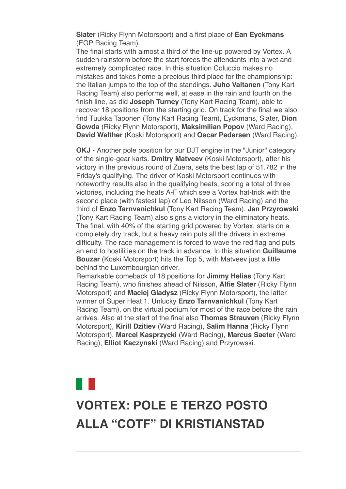**Slater** (Ricky Flynn Motorsport) and a first place of **Ean Eyckmans** (EGP Racing Team).

The final starts with almost a third of the line-up powered by Vortex. A sudden rainstorm before the start forces the attendants into a wet and extremely complicated race. In this situation Coluccio makes no mistakes and takes home a precious third place for the championship: the Italian jumps to the top of the standings. **Juho Valtanen** (Tony Kart Racing Team) also performs well, at ease in the rain and fourth on the finish line, as did **Joseph Turney** (Tony Kart Racing Team), able to recover 18 positions from the starting grid. On track for the final we also find Tuukka Taponen (Tony Kart Racing Team), Eyckmans, Slater, **Dion Gowda** (Ricky Flynn Motorsport), **Maksimilian Popov** (Ward Racing), **David Walther** (Koski Motorsport) and **Oscar Pedersen** (Ward Racing).

**OKJ** - Another pole position for our DJT engine in the "Junior" category of the single-gear karts. **Dmitry Matveev** (Koski Motorsport), after his victory in the previous round of Zuera, sets the best lap of 51.782 in the Friday's qualifying. The driver of Koski Motorsport continues with noteworthy results also in the qualifying heats, scoring a total of three victories, including the heats A-F which see a Vortex hat-trick with the second place (with fastest lap) of Leo Nilsson (Ward Racing) and the third of **Enzo Tarnvanichkul** (Tony Kart Racing Team). **Jan Przyrowski** (Tony Kart Racing Team) also signs a victory in the eliminatory heats. The final, with 40% of the starting grid powered by Vortex, starts on a completely dry track, but a heavy rain puts all the drivers in extreme difficulty. The race management is forced to wave the red flag and puts an end to hostilities on the track in advance. In this situation **Guillaume Bouzar** (Koski Motorsport) hits the Top 5, with Matveev just a little behind the Luxembourgian driver.

Remarkable comeback of 18 positions for **Jimmy Helias** (Tony Kart Racing Team), who finishes ahead of Nilsson, **Alfie Slater** (Ricky Flynn Motorsport) and **Maciej Gladysz** (Ricky Flynn Motorsport), the latter winner of Super Heat 1. Unlucky **Enzo Tarnvanichkul** (Tony Kart Racing Team), on the virtual podium for most of the race before the rain arrives. Also at the start of the final also **Thomas Strauven** (Ricky Flynn Motorsport), **Kirill Dzitiev** (Ward Racing), **Salim Hanna** (Ricky Flynn Motorsport), **Marcel Kasprzycki** (Ward Racing), **Marcus Saeter** (Ward Racing), **Elliot Kaczynski** (Ward Racing) and Przyrowski.

## **[VORTEX: POLE E TERZO POSTO](data:text/html;charset=utf-8;base64,%20PGh0bWwgeG1sbnM9Imh0dHA6Ly93d3cudzMub3JnLzE5OTkveGh0bWwiIGNsYXNzPSJhcHBsZS1tYWlsLWltcGxpY2l0LWRhcmstc3VwcG9ydCIgc3R5bGU9Inpvb206IDE7Ij48aGVhZD48c3R5bGUgdHlwZT0idGV4dC9jc3MiPi8qCiAqICBNVUlXZWJEb2N1bWVudC5jc3MKICogIE1haWwKICoKICogIENvcHlyaWdodCAyMDEyIEFwcGxlIEluYy4gQWxsIHJpZ2h0cyByZXNlcnZlZC4gCiAqLwoKKiB7CiAgICAtd2Via2l0LXVzZXItbW9kaWZ5OiBpbml0aWFsICFpbXBvcnRhbnQ7Cn0KCmh0bWwgewogICAgZm9udDogMTIuMDAwMDAwcHggSGVsdmV0aWNhOwp9Cgpib2R5IHsKICAgIG1hcmdpbjogMThweCAyNXB4IDIycHg7CiAgICBwYWRkaW5nOiAwOwogICAgd29yZC13cmFwOiBicmVhay13b3JkOwogICAgd29yZC1icmVhazogYnJlYWstd29yZDsKIH0KCnRhYmxlIHsKICAgIHdvcmQtYnJlYWs6IG5vcm1hbDsKfQoKLyogQXR0YWNobWVudHMgKi8KCmltZy5BcHBsZS1zbWFsbC1pbWFnZSB7CiAgICB3aWR0aDozMjBweDsKfQoKaW1nLkFwcGxlLW1lZGl1bS1pbWFnZSB7CiAgICB3aWR0aDo2NDBweDsKfQoKaW1nLkFwcGxlLWxhcmdlLWltYWdlIHsKICAgIHdpZHRoOjEyODBweDsKfQoKQC13ZWJraXQta2V5ZnJhbWVzIEFwcGxlLWRpc2NyZXRlLXNwaW5uZXIgewogICAgLyogVGhlc2Uga2V5ZnJhbWVzIHRyeSB0byByZXByb2R1Y2UgdGhlIDE2IGRpc2NyZXRlIHN0ZXBzIHNlZW4gaW4gYSBzdGFuZGFyZCBzeXN0ZW0gcHJvZ3Jlc3MgaW5kaWNhdG9yLiAqLwogICAgMCUgewogICAgICAgIGJhY2tncm91bmQtaW1hZ2U6IHVybCgneC1idW5kbGUtcmVzb3VyY2U6SW5kZXRlcm1pbmF0ZVByb2dyZXNzU3Bpbm5lcjEucGRmJyk7CiAgICB9CiAgICA2LjI1MCUgewogICAgICAgIGJhY2tncm91bmQtaW1hZ2U6IHVybCgneC1idW5kbGUtcmVzb3VyY2U6SW5kZXRlcm1pbmF0ZVByb2dyZXNzU3Bpbm5lcjIucGRmJyk7CiAgICB9CiAgICAxMi41MDAlIHsKICAgICAgICBiYWNrZ3JvdW5kLWltYWdlOiB1cmwoJ3gtYnVuZGxlLXJlc291cmNlOkluZGV0ZXJtaW5hdGVQcm9ncmVzc1NwaW5uZXIzLnBkZicpOwogICAgfQogICAgMTguNzUwJSB7CiAgICAgICAgYmFja2dyb3VuZC1pbWFnZTogdXJsKCd4LWJ1bmRsZS1yZXNvdXJjZTpJbmRldGVybWluYXRlUHJvZ3Jlc3NTcGlubmVyNC5wZGYnKTsKICAgIH0KICAgIDI1LjAwMCUgewogICAgICAgIGJhY2tncm91bmQtaW1hZ2U6IHVybCgneC1idW5kbGUtcmVzb3VyY2U6SW5kZXRlcm1pbmF0ZVByb2dyZXNzU3Bpbm5lcjUucGRmJyk7CiAgICB9CiAgICAzMS4yNTAlIHsKICAgICAgICBiYWNrZ3JvdW5kLWltYWdlOiB1cmwoJ3gtYnVuZGxlLXJlc291cmNlOkluZGV0ZXJtaW5hdGVQcm9ncmVzc1NwaW5uZXI2LnBkZicpOwogICAgfQogICAgMzcuNTAwJSB7CiAgICAgICAgYmFja2dyb3VuZC1pbWFnZTogdXJsKCd4LWJ1bmRsZS1yZXNvdXJjZTpJbmRldGVybWluYXRlUHJvZ3Jlc3NTcGlubmVyNy5wZGYnKTsKICAgIH0KICAgIDQzLjc1MCUgewogICAgICAgIGJhY2tncm91bmQtaW1hZ2U6IHVybCgneC1idW5kbGUtcmVzb3VyY2U6SW5kZXRlcm1pbmF0ZVByb2dyZXNzU3Bpbm5lcjgucGRmJyk7CiAgICB9CiAgICA1MC4wMDAlIHsKICAgICAgICBiYWNrZ3JvdW5kLWltYWdlOiB1cmwoJ3gtYnVuZGxlLXJlc291cmNlOkluZGV0ZXJtaW5hdGVQcm9ncmVzc1NwaW5uZXI5LnBkZicpOwogICAgfQogICAgNTYuMjUwJSB7CiAgICAgICAgYmFja2dyb3VuZC1pbWFnZTogdXJsKCd4LWJ1bmRsZS1yZXNvdXJjZTpJbmRldGVybWluYXRlUHJvZ3Jlc3NTcGlubmVyMTAucGRmJyk7CiAgICB9CiAgICA2Mi41MDAlIHsKICAgICAgICBiYWNrZ3JvdW5kLWltYWdlOiB1cmwoJ3gtYnVuZGxlLXJlc291cmNlOkluZGV0ZXJtaW5hdGVQcm9ncmVzc1NwaW5uZXIxMS5wZGYnKTsKICAgIH0KICAgIDY4Ljc1MCUgewogICAgICAgIGJhY2tncm91bmQtaW1hZ2U6IHVybCgneC1idW5kbGUtcmVzb3VyY2U6SW5kZXRlcm1pbmF0ZVByb2dyZXNzU3Bpbm5lcjEyLnBkZicpOwogICAgfQogICAgNzUuMDAwJSB7CiAgICAgICAgYmFja2dyb3VuZC1pbWFnZTogdXJsKCd4LWJ1bmRsZS1yZXNvdXJjZTpJbmRldGVybWluYXRlUHJvZ3Jlc3NTcGlubmVyMTMucGRmJyk7CiAgICB9CiAgICA4MS4yNTAlIHsKICAgICAgICBiYWNrZ3JvdW5kLWltYWdlOiB1cmwoJ3gtYnVuZGxlLXJlc291cmNlOkluZGV0ZXJtaW5hdGVQcm9ncmVzc1NwaW5uZXIxNC5wZGYnKTsKICAgIH0KICAgIDg3LjUwMCUgewogICAgICAgIGJhY2tncm91bmQtaW1hZ2U6IHVybCgneC1idW5kbGUtcmVzb3VyY2U6SW5kZXRlcm1pbmF0ZVByb2dyZXNzU3Bpbm5lcjE1LnBkZicpOwogICAgfQogICAgOTMuNzUwJSB7CiAgICAgICAgYmFja2dyb3VuZC1pbWFnZTogdXJsKCd4LWJ1bmRsZS1yZXNvdXJjZTpJbmRldGVybWluYXRlUHJvZ3Jlc3NTcGlubmVyMTYucGRmJyk7CiAgICB9CiAgICAxMDAlIHsKICAgICAgICBiYWNrZ3JvdW5kLWltYWdlOiB1cmwoJ3gtYnVuZGxlLXJlc291cmNlOkluZGV0ZXJtaW5hdGVQcm9ncmVzc1NwaW5uZXIxLnBkZicpOwogICAgfQp9CgpkaXYuQXBwbGUtaW5kZXRlcm1pbmF0ZS1wcm9ncmVzcy1zcGlubmVyIHsKICAgIHdpZHRoOiAxNnB4OwogICAgaGVpZ2h0OiAxNnB4OwogICAgYmFja2dyb3VuZC1pbWFnZTogdXJsKCd4LWJ1bmRsZS1yZXNvdXJjZTpJbmRldGVybWluYXRlUHJvZ3Jlc3NTcGlubmVyMS5wZGYnKTsKICAgIGJhY2tncm91bmQtcmVwZWF0OiBuby1yZXBlYXQ7CiAgICBiYWNrZ3JvdW5kLXNpemU6IDEwMCUgMTAwJTsKICAgIC13ZWJraXQtYW5pbWF0aW9uLW5hbWU6IEFwcGxlLWRpc2NyZXRlLXNwaW5uZXI7CiAgICAtd2Via2l0LWFuaW1hdGlvbi1kdXJhdGlvbjogMXM7CiAgICAtd2Via2l0LWFuaW1hdGlvbi1pdGVyYXRpb24tY291bnQ6IGluZmluaXRlOwogICAgLXdlYmtpdC1hbmltYXRpb24tdGltaW5nLWZ1bmN0aW9uOiBzdGVwLXN0YXJ0Owp9CgovKiBMaXN0IFN0eWxlcyAqLwoKdWwuQXBwbGUtZGFzaC1saXN0LCB1bC5BcHBsZS1kYXNoLWxpc3QgdWwgewogICAgbGlzdC1zdHlsZS10eXBlOiBub25lOwp9CiAgICAKdWwuQXBwbGUtZGFzaC1saXN0IGxpOmJlZm9yZSB7CiAgICBjb250ZW50OiAiXDIwMTMiOwogICAgcG9zaXRpb246IGFic29sdXRlOwogICAgbWFyZ2luOiAwIC0xLjI1ZW07Cn0KCi8qIE9yZGVyZWQgTGlzdHM6IFN1cHBvcnQgOSBkZWVwLCBsaWtlIFBhZ2VzLCB0aGVuIGZhbGwgYmFjayB0byBkYXNoZXMgKi8Kb2wsIG9sIG9sIG9sIG9sLCBvbCBvbCBvbCBvbCBvbCBvbCBvbCB7CiAgICBsaXN0LXN0eWxlLXR5cGU6IGRlY2ltYWw7Cn0KCm9sIG9sLCBvbCBvbCBvbCBvbCBvbCwgb2wgb2wgb2wgb2wgb2wgb2wgb2wgb2wgewogICAgbGlzdC1zdHlsZS10eXBlOiBsb3dlci1hbHBoYTsKfQoKb2wgb2wgb2wsIG9sIG9sIG9sIG9sIG9sIG9sLCBvbCBvbCBvbCBvbCBvbCBvbCBvbCBvbCBvbCB7CiAgICBsaXN0LXN0eWxlLXR5cGU6IGxvd2VyLXJvbWFuOwp9CgpvbCBvbCBvbCBvbCBvbCBvbCBvbCBvbCBvbCBvbCB7CiAgICBsaXN0LXN0eWxlLXR5cGU6IG5vbmU7Cn0KCm9sIG9sIG9sIG9sIG9sIG9sIG9sIG9sIG9sIG9sIGxpOmJlZm9yZSB7CiAgICBjb250ZW50OiAiXDIwMTMiOwogICAgcG9zaXRpb246IGFic29sdXRlOwogICAgLXdlYmtpdC1tYXJnaW4tc3RhcnQ6IC0xLjI1ZW07Cn0KCi8qIE1haWwtc3BlY2lmaWMgU3R5bGVzICovCgphLngtYXBwbGUtbWFpbC1zZWUtbW9yZSwgYS54LWFwcGxlLW1haWwtc2VlLW1vcmUtZnJvbSB7CiAgICBmb250LXNpemU6IDEwcHg7CiAgICBmb250LWZhbWlseTogSGVsdmV0aWNhOwogICAgdGV4dC1kZWNvcmF0aW9uOiBub25lOwogICAgY29sb3I6IC1hcHBsZS1zeXN0ZW0tYmx1ZTsKICAgIC1hcHBsZS1jb2xvci1maWx0ZXI6IG5vbmU7Cn0KCmEueC1hcHBsZS1tYWlsLXNlZS1tb3JlIHsKICAgIGZvbnQtc2l6ZTogMTFweDsKICAgIGZvbnQtd2VpZ2h0OiBib2xkOwp9Cgpib2R5LkFwcGxlUGxhaW5UZXh0Qm9keSB7CiAgICAtd2Via2l0LW5ic3AtbW9kZTogc3BhY2U7CiAgICBmb250LXNpemU6IGluaGVyaXRweDsKICAgIGZvbnQtZmFtaWx5OiBpbmhlcml0Owp9Cgpib2R5LlNpbmdsZXRvbiB7CiAgICBtYXJnaW4tbGVmdDogMzZweDsKfQoKLngtYXBwbGUtbWFpbGRyb3BiYW5uZXIgewogICAgZGlzcGxheTogbm9uZTsKfQoKYmxvY2txdW90ZVt0eXBlPWNpdGVdIHsKICAgIHBhZGRpbmctbGVmdDogOHB4OwogICAgbWFyZ2luOiAwOwogICAgYm9yZGVyLWxlZnQtd2lkdGg6IDJweDsKICAgIGJvcmRlci1sZWZ0LXN0eWxlOiBzb2xpZDsKICAgIGJvcmRlci1sZWZ0LWNvbG9yOiByZ2JhKDg4LCA4NiwgMjE0LCAyNTUpOwogICAgY29sb3I6IHJnYmEoODgsIDg2LCAyMTQsIDI1NSk7Cn0KCmJsb2NrcXVvdGVbdHlwZT1jaXRlXSBibG9ja3F1b3RlW3R5cGU9Y2l0ZV0gewogICAgYm9yZGVyLWxlZnQtd2lkdGg6IDJweDsKICAgIGJvcmRlci1sZWZ0LXN0eWxlOiBzb2xpZDsKICAgIGJvcmRlci1sZWZ0LWNvbG9yOiByZ2JhKDAsIDE3NSwgMjA1LCAyNTUpOwogICAgY29sb3I6IHJnYmEoMCwgMTc1LCAyMDUsIDI1NSk7Cn0KCmJsb2NrcXVvdGVbdHlwZT1jaXRlXSBibG9ja3F1b3RlW3R5cGU9Y2l0ZV0gYmxvY2txdW90ZVt0eXBlPWNpdGVdIHsKICAgIGJvcmRlci1sZWZ0LXdpZHRoOiAycHg7CiAgICBib3JkZXItbGVmdC1zdHlsZTogc29saWQ7CiAgICBib3JkZXItbGVmdC1jb2xvcjogcmdiYSgxOCwgMTkyLCAxNCwgMjU1KTsKICAgIGNvbG9yOiByZ2JhKDE4LCAxOTIsIDE0LCAyNTUpOwp9CgppbWcuQXBwbGUtd2ViLWF0dGFjaG1lbnQgewogICAgdmVydGljYWwtYWxpZ246IHRvcCAhaW1wb3J0YW50OwogICAgbWF4LXdpZHRoOiAxMDAlICFpbXBvcnRhbnQ7Cn0KCnZpZGVvLkFwcGxlLXdlYi1hdHRhY2htZW50IHsKICAgIG1heC13aWR0aDogMTAwJSAhaW1wb3J0YW50Owp9CgppbWcuQXBwbGUtZWRnZS10by1lZGdlLXZpc3VhbC1tZWRpYSwgdmlkZW8uQXBwbGUtZWRnZS10by1lZGdlLXZpc3VhbC1tZWRpYSB7CiAgICBkaXNwbGF5OiBibG9jazsKICAgIG1heC13aWR0aDogY2FsYygxMDAlICsgNTBweCkgIWltcG9ydGFudDsKICAgIG1hcmdpbjogMCAtMjVweDsKfQoKaW1nLkFwcGxlLWVkZ2UtdG8tZWRnZS12aXN1YWwtbWVkaWEuU2luZ2xldG9uLCB2aWRlby5BcHBsZS1lZGdlLXRvLWVkZ2UtdmlzdWFsLW1lZGlhLlNpbmdsZXRvbiB7CiAgICBkaXNwbGF5OiBibG9jazsKICAgIG1heC13aWR0aDogY2FsYygxMDAlICsgNjFweCkgIWltcG9ydGFudDsKICAgIG1hcmdpbjogMCAtMjVweCAwIC0zNnB4Owp9CgoKLyogTWVkaWEgUXVlcnkgT3ZlcnJpZGVzIChMZWF2ZSBhdCBib3R0b20pICovCgpAbWVkaWEgc2NyZWVuIGFuZCAocHJlZmVycy1jb2xvci1zY2hlbWU6IGRhcmspIHsKICAgIC8qIEltcGxpY2l0IChjb2xvci1maWx0ZXJlZCkgZGFyayBtb2RlICovCiAgICA6cm9vdC5hcHBsZS1tYWlsLWltcGxpY2l0LWRhcmstc3VwcG9ydCB7CiAgICAgICAgLWFwcGxlLWNvbG9yLWZpbHRlcjogYXBwbGUtaW52ZXJ0LWxpZ2h0bmVzcygpOwogICAgICAgIC0tcXVvdGUtYmFyLWNvbG9yLWxldmVsLTE6IC1hcHBsZS1zeXN0ZW0tcHVycGxlOwogICAgICAgIC0tcXVvdGUtdGV4dC1jb2xvci1sZXZlbC0xOiAtYXBwbGUtc3lzdGVtLXB1cnBsZTsKICAgICAgICAtLXF1b3RlLWJhci1jb2xvci1sZXZlbC0yOiByZ2JhKDAsIDE3NSwgMjA1LCAyNTUpOwogICAgICAgIC0tcXVvdGUtdGV4dC1jb2xvci1sZXZlbC0yOiByZ2JhKDAsIDE3NSwgMjA1LCAyNTUpOwogICAgICAgIC0tcXVvdGUtYmFyLWNvbG9yLWxldmVsLTM6IHJnYmEoMTgsIDE5MiwgMTQsIDI1NSk7CiAgICAgICAgLS1xdW90ZS10ZXh0LWNvbG9yLWxldmVsLTM6IHJnYmEoMTgsIDE5MiwgMTQsIDI1NSk7CiAgICB9CgogICAgLyogRXhwbGljaXQgKGRlY2xhcmVkKSBkYXJrIG1vZGUgKi8KICAgIDpyb290Om5vdCguYXBwbGUtbWFpbC1pbXBsaWNpdC1kYXJrLXN1cHBvcnQpIHsKICAgICAgICAtLXF1b3RlLWJhci1jb2xvci1sZXZlbC0xOiAtYXBwbGUtc3lzdGVtLXB1cnBsZTsKICAgICAgICAtLXF1b3RlLXRleHQtY29sb3ItbGV2ZWwtMTogLWFwcGxlLXN5c3RlbS1wdXJwbGU7CiAgICAgICAgLS1xdW90ZS1iYXItY29sb3ItbGV2ZWwtMjogcmdiYSgwLCAyMDAsIDI1MCwgMjU1KTsKICAgICAgICAtLXF1b3RlLXRleHQtY29sb3ItbGV2ZWwtMjogcmdiYSgwLCAyMDAsIDI1MCwgMjU1KTsKICAgICAgICAtLXF1b3RlLWJhci1jb2xvci1sZXZlbC0zOiByZ2JhKDg3LCAyMTcsIDExOSwgMjU1KTsKICAgICAgICAtLXF1b3RlLXRleHQtY29sb3ItbGV2ZWwtMzogcmdiYSg4NywgMjE3LCAxMTksIDI1NSk7CiAgICB9CgogICAgYmxvY2txdW90ZVt0eXBlPWNpdGVdIHsKICAgICAgICBib3JkZXItbGVmdC1jb2xvcjogdmFyKC0tcXVvdGUtYmFyLWNvbG9yLWxldmVsLTEpOwogICAgICAgIGNvbG9yOiB2YXIoLS1xdW90ZS10ZXh0LWNvbG9yLWxldmVsLTEpOwogICAgfQoKICAgIGJsb2NrcXVvdGVbdHlwZT1jaXRlXSBibG9ja3F1b3RlW3R5cGU9Y2l0ZV0gewogICAgICAgIGJvcmRlci1sZWZ0LWNvbG9yOiB2YXIoLS1xdW90ZS1iYXItY29sb3ItbGV2ZWwtMik7CiAgICAgICAgY29sb3I6IHZhcigtLXF1b3RlLXRleHQtY29sb3ItbGV2ZWwtMik7CiAgICB9CgogICAgYmxvY2txdW90ZVt0eXBlPWNpdGVdIGJsb2NrcXVvdGVbdHlwZT1jaXRlXSBibG9ja3F1b3RlW3R5cGU9Y2l0ZV0gewogICAgICAgIGJvcmRlci1sZWZ0LWNvbG9yOiB2YXIoLS1xdW90ZS1iYXItY29sb3ItbGV2ZWwtMyk7CiAgICAgICAgY29sb3I6IHZhcigtLXF1b3RlLXRleHQtY29sb3ItbGV2ZWwtMyk7CiAgICB9Cn0KCi8qIFByaW50IFN0eWxlcyAqLwoKQG1lZGlhIHByaW50IHsKICAgIGJvZHkgewogICAgICAgIGZvbnQtc2l6ZTogODAlOwogICAgICAgIHBhZGRpbmc6IDA7CiAgICAgICAgbWFyZ2luOiAwOwogICAgfQp9Ci5NYWlsT3V0bGluZSB7IG1hcmdpbi10b3A6MDsgbWFyZ2luLWJvdHRvbTowOyB9Cjwvc3R5bGU+CjxtZXRhIGh0dHAtZXF1aXY9IkNvbnRlbnQtVHlwZSIgY29udGVudD0idGV4dC9odG1sOyBjaGFyc2V0PXV0Zi04Ij4KPHRpdGxlPlZPUlRFWDwvdGl0bGU+CjxzdHlsZSB0eXBlPSJ0ZXh0L2NzcyI+CiN0aXRvbG94IHsKCWZvbnQtc2l6ZTogMjRweDsKCWZvbnQtZmFtaWx5OiBBcmlhbCwgSGVsdmV0aWNhLCBzYW5zLXNlcmlmOwoJY29sb3I6ICMwMDRiOTU7Cn0KPC9zdHlsZT4KPC9oZWFkPgoKPGJvZHkgYmdjb2xvcj0iI2ZmZmZmZiIgY2xhc3M9IlNpbmdsZXRvbiI+CjxzdHlsZT4KYm9keSB7IG1hcmdpbjowcHg7IH0KPC9zdHlsZT4KPCEtLSA8cCBzdHlsZT0idGV4dC1hbGlnbjpjZW50ZXI7IGZvbnQtZmFtaWx5OiBBcmlhbCwgc2Fucy1zZXJpZjsgZm9udC1zaXplOjEzcHg7Ij5TZSBub24gdmlzdWFsaXp6aSBjb3JyZXR0YW1lbnRlIHF1ZXN0YSBlLW1haWwgPGEgaHJlZj0iIyIgc3R5bGU9ImZvbnQtd2VpZ2h0OmJvbGQ7IHRleHQtZGVjb3JhdGlvbjpub25lOyBjb2xvcjogIzAwNGI5NSI+Y2xpY2NhIHF1aTwvYT48L3A+IC0tPgo8dGFibGUgd2lkdGg9IjEwMCUiIGJvcmRlcj0iMCIgY2VsbHNwYWNpbmc9IjAiIGNlbGxwYWRkaW5nPSIwIiBiZ2NvbG9yPSIjZmZmZmZmIj4KICA8dGJvZHk+PHRyPgogIDx0ZCBhbGlnbj0iY2VudGVyIj48L3RkPgogIDwvdHI+CiAgPHRyPgogICAgPHRkPgogICAgICA8dGFibGUgd2lkdGg9IjYwMCIgYm9yZGVyPSIwIiBjZWxsc3BhY2luZz0iMCIgY2VsbHBhZGRpbmc9IjAiIGJnY29sb3I9IiNGRkZGRkYiIGFsaWduPSJjZW50ZXIiPgogICAgICAgIDx0Ym9keT48dHI+CiAgICAgICAgICA8dGQgYmdjb2xvcj0iIzAwNGI5NSI+CiAgICAgICAgICA8IS0tIGhlYWRlciAtLT4KICAgICAgICAgICAgPHRhYmxlIGJvcmRlcj0iMCIgd2lkdGg9IjYwMCIgaGVpZ2h0PSI2MCIgY2VsbHNwYWNpbmc9IjAiIGNlbGxwYWRkaW5nPSIwIiBhbGlnbj0iY2VudGVyIj4KICAgICAgICAgICAgPHRib2R5Pjx0cj4KICAgICAgICAgICAgCTx0ZCB2YWxpZ249InRvcCI+CiAgICAgICAgICAgICAgICAJPHRhYmxlIGJvcmRlcj0iMCIgY2VsbHBhZGRpbmc9IjAiIGNlbGxzcGFjaW5nPSIwIiBhbGlnbj0iY2VudGVyIiB3aWR0aD0iNjAwIiBiYWNrZ3JvdW5kPSIjMDA0Yjk1Ij4KICAgICAgICAgICAgICAgICAgICA8dGJvZHk+PHRyPgogICAgICAgICAgICAgICAgICAgIAk8dGQgdmFsaWduPSJtaWRkbGUiIHN0eWxlPSJwYWRkaW5nLWxlZnQ6MjBweCI+CiAgICAgICAgICAgICAgICAgICAgICAgIAk8YSBocmVmPSIjIj48aW1nIHNyYz0iaHR0cDovL25ld3NsZXR0ZXIudG9ueWthcnQuY29tL2ltYWdlcy92b3J0ZXgvbG9nby5wbmciIHdpZHRoPSIxMTEiIGhlaWdodD0iNjgiIGFsdD0iIiBib3JkZXI9IjAiPjwvYT4KICAgICAgICAgICAgICAgICAgPC90ZD4KICAgICAgICAgICAgICAgICAgICAJPHRkIHZhbGlnbj0ibWlkZGxlIj4KICAgICAgICAgICAgICAgICAgICAgICAgCTx0YWJsZSBib3JkZXI9IjAiIGJnY29sb3I9IiMwMDRiOTUiIGNlbGxwYWRkaW5nPSIwIiBjZWxsc3BhY2luZz0iMCIgYWxpZ249InJpZ2h0Ij4KICAgICAgICAgICAgICAgICAgICAgICAgICAgIDx0Ym9keT48dHI+CiAgICAgICAgICAgICAgICAgICAgICAgICAgICAgICAgPHRkIGNsYXNzPSJjZW50ZXIiIHN0eWxlPSJmb250LXNpemU6IDEzcHg7IGNvbG9yOiAjMDA0Yjk1OyBmb250LXdlaWdodDogbGlnaHQ7IHRleHQtYWxpZ246IHJpZ2h0OyBmb250LWZhbWlseTogJ09wZW4gU2FucycsIEhlbHZldGljYSwgQXJpYWwsIHNhbnMtc2VyaWY7IGxpbmUtaGVpZ2h0OiAyMHB4OyB2ZXJ0aWNhbC1hbGlnbjogbWlkZGxlOyBwYWRkaW5nOjZweCAyMHB4IDBweCAyMHB4OyBmb250LXN0eWxlOml0YWxpYyI+CiAgICAgICAgICAgICAgICAgICAgICAgICAgICAgICAgICAgIDwhLS0gPGEgaHJlZj0iIyI+PGltZyBzcmM9Imh0dHA6Ly9uZXdzbGV0dGVyLnRvbnlrYXJ0LmNvbS9pbWFnZXMvdm9ydGV4L3NvY2lhbF9mYWNlYm9vay5wbmciIGJvcmRlcj0iMCIgYWx0PSIiPjwvYT4KICAgICAgICAgICAgICAgICAgICAgICAgICAgICAgICAgICAgJm5ic3A7Jm5ic3A7Jm5ic3A7CiAgICAgICAgICAgICAgICAgICAgICAgICAgICAgICAgICAgIDxhIGhyZWY9IiMiPjxpbWcgc3JjPSJodHRwOi8vbmV3c2xldHRlci50b255a2FydC5jb20vaW1hZ2VzL3ZvcnRleC9zb2NpYWxfdHdpdHRlci5wbmciIGJvcmRlcj0iMCIgYWx0PSIiPjwvYT4KICAgICAgICAgICAgICAgICAgICAgICAgICAgICAgICAgICAgJm5ic3A7Jm5ic3A7Jm5ic3A7IC0tPgogICAgICAgICAgICAgICAgICAgICAgICAgICAgICAgICAgICA8YSBocmVmPSJodHRwczovL3d3dy5pbnN0YWdyYW0uY29tL3ZvcnRleGVuZ2luZXNvZmZpY2lhbC8iPjxpbWcgc3JjPSJodHRwOi8vbmV3c2xldHRlci50b255a2FydC5jb20vaW1hZ2VzL3ZvcnRleC9zb2NpYWxfaW5zdGFncmFtLnBuZyIgYm9yZGVyPSIwIiBhbHQ9IiI+PC9hPgogICAgICAgICAgICAgICAgICAgICAgICAgICAgICAgICAgICA8IS0tICZuYnNwOyZuYnNwOyZuYnNwOwogICAgICAgICAgICAgICAgICAgICAgICAgICAgICAgICAgICA8YSBocmVmPSIjIj48aW1nIHNyYz0iaHR0cDovL25ld3NsZXR0ZXIudG9ueWthcnQuY29tL2ltYWdlcy92b3J0ZXgvc29jaWFsX3lvdXR1YmUucG5nIiBib3JkZXI9IjAiIGFsdD0iIj48L2E+IC0tPgogICAgICAgICAgICAgICAgICAgICAgICAgICAgICAgIDwvdGQ+CiAgICAgICAgICAgICAgICAgICAgICAgICAgICA8L3RyPgogICAgICAgICAgICAgICAgICAgICAgICAJPC90Ym9keT48L3RhYmxlPgogICAgICAgICAgICAgICAgICAgICAgICA8L3RkPgogICAgICAgICAgICAgICAgICAgIDwvdHI+CiAgICAgICAgICAgICAgICAgICAgPC90Ym9keT48L3RhYmxlPgogICAgICAgICAgICAgICAgPC90ZD4KICAgICAgICAgICAgPC90cj4KICAgICAgICAgICAgPHRyPgogICAgICAgICAgICAgIDx0ZCB2YWxpZ249InRvcCI+CiAgICAgICAgICAgICAgICA8aW1nIHNyYz0iaHR0cDovL25ld3NsZXR0ZXIudG9ueWthcnQuY29tL2FsbGVnYXRpX3RlbXBsYXRlLzIwMjIvMjAyMjA1MjUtMTQ0NjIzMS90ZXN0YXRhLmpwZWciIGFsdD0iIiB3aWR0aD0iNjAyIiBoZWlnaHQ9IjI1MiIgc3R5bGU9IndpZHRoOjYwMnB4OyBoZWlnaHQ6MjUycHg7Ij4KICAgICAgICAgICAgICA8L3RkPgogICAgICAgICAgICA8L3RyPgogICAgICAgICAgICA8L3Rib2R5PjwvdGFibGU+CiAgICAgICAgICA8IS0tIC5oZWFkZXIgLS0+CiAgICAgICAgICA8L3RkPgogICAgICAgIDwvdHI+CiAgICAgICAgPHRyPgogICAgICAgICAgPHRkPgogICAgICAgICAgCTx0YWJsZSB3aWR0aD0iMTAwJSIgYm9yZGVyPSIwIiBjZWxsc3BhY2luZz0iMCIgY2VsbHBhZGRpbmc9IjAiPgogICAgICAgICAgICAgIDx0Ym9keT48dHI+CiAgICAgICAgICAgICAgICA8dGQgd2lkdGg9IjEwJSI+Jm5ic3A7PC90ZD4KICAgICAgICAgICAgICAgIDx0ZCB3aWR0aD0iODAlIiBhbGlnbj0ibGVmdCIgdmFsaWduPSJ0b3AiPgogICAgICAgICAgICAgICAgCTx0YWJsZSB3aWR0aD0iMTAwJSIgYm9yZGVyPSIwIiBjZWxsc3BhY2luZz0iMCIgY2VsbHBhZGRpbmc9IjAiPgogICAgICAgICAgICAgICAgICAgIAk8dGJvZHk+PHRyPgoJICAgICAgICAgICAgICAgICAgICAgIDx0ZD4mbmJzcDs8L3RkPgogICAgCSAgICAgICAgICAgICAgICA8L3RyPgogICAgICAgIAkgICAgICAgICAgICA8dHI+CiAgICAgICAgICAgIAkgICAgICAgICAgPHRkIGFsaWduPSJsZWZ0IiB2YWxpZ249InRvcCI+CiAgICAgICAgICAgICAgICAJICAgICAgICA8dGFibGUgd2lkdGg9IjEwMCUiIGJvcmRlcj0iMCIgY2VsbHNwYWNpbmc9IjAiIGNlbGxwYWRkaW5nPSIwIj4KICAgICAgICAgICAgICAgICAgICAgICAgICAgICAgPHRib2R5Pjx0cj4KICAgICAgICAgICAgICAgICAgICAgICAgICAgICAgICA8dGQgaGVpZ2h0PSIzNSIgYWxpZ249ImxlZnQiIHZhbGlnbj0ibWlkZGxlIj4KCiAgICAgICAgICAgICAgICAgICAgICAgICAgICAgICAgICAJPHRhYmxlIGJvcmRlcj0iMCIgd2lkdGg9IjEwMCUiIGNlbGxwYWRkaW5nPSIwIiBjZWxsc3BhY2luZz0iMCI+CiAgICAgICAgICAgICAgICAgICAgICAgICAgICAgICAgICAJPHRib2R5Pjx0cj4KICAgICAgICAgICAgICAgICAgICAgICAgICAgICAgICAgIAkJPHRkIHdpZHRoPSI4MCIgYWxpZ249ImxlZnQiIHZhbGlnbj0ibWlkZGxlIiBzdHlsZT0icGFkZGluZy10b3A6MTBweDsgcGFkZGluZy1ib3R0b206IDEwcHg7IGJvcmRlci1ib3R0b206IDlweCBzb2xpZCAjMDA0Yjk1Ij48Zm9udCBzdHlsZT0idGV4dC1kZWNvcmF0aW9uOiBub25lOyBmb250LXNpemU6IDE1cHg7IGNvbG9yOiAjM2EzYTNhOyBmb250LWZhbWlseTonT3BlbiBTYW5zJywgSGVsdmV0aWNhLCBBcmlhbCwgc2Fucy1zZXJpZjsiPjI1LzA1LzIwMjI8L2ZvbnQ+CiAgICAgICAgICAgICAgICAgICAgICAgICAgICAgICAgICAgIAk8L3RkPgogICAgICAgICAgICAgICAgICAgICAgICAgICAgICAgICAgICAgICAgPHRkIGFsaWduPSJyaWdodCIgdmFsaWduPSJtaWRkbGUiPiZuYnNwOzwvdGQ+CiAgICAgICAgICAgICAgICAgICAgICAgICAgICAgICAgICAgCTwvdHI+CiAgICAgICAgICAgICAgICAgICAgICAgICAgICAgICAgICA8L3Rib2R5PjwvdGFibGU+CgogICAgICAgICAgICAgICAgICAgICAgICAgICAgICAgIDwvdGQ+CiAgICAgICAgICAgICAgICAgICAgICAgICAgICAgIDwvdHI+CiAgICAgICAgICAgICAgICAgICAgICAgICAgICAgIDx0cj48dGQ+Jm5ic3A7PC90ZD48L3RyPgoKICAgICAgICAgICAgICAgICAgICAgICAgICAgICAgICAgICAgICAgICAgICAgICAgICAgICAgICAgICAgPHRyPgogICAgICAgICAgICAgICAgICAgICAgICAgICAgICAgIDx0ZCBoZWlnaHQ9IjQwIiBhbGlnbj0ibGVmdCIgdmFsaWduPSJtaWRkbGUiIHN0eWxlPSJwYWRkaW5nLXRvcDoxMHB4OyBwYWRkaW5nLWJvdHRvbToxMHB4OyI+CiAgICAgICAgICAgICAgICAgICAgICAgICAgICAgICAgICAgIDwhLS0gaGVhZGxpbmUgLS0+CiAgICAgICAgICAgICAgICAgICAgICAgICAgICAgICAgICA8aW1nIHNyYz0iaHR0cDovL25ld3NsZXR0ZXIudG9ueWthcnQuY29tL2ltYWdlcy92b3J0ZXgvZmxhZy1lbi5naWYiIGFsdD0iIj48YnI+PGJyPgogICAgICAgICAgICAgICAgICAgICAgICAgICAgICAgICAgICA8YSBocmVmPSIjIiBzdHlsZT0idGV4dC1kZWNvcmF0aW9uOiBub25lOyI+PGZvbnQgc3R5bGU9ImxpbmUtaGVpZ2h0OiA0MHB4OyBmb250LXNpemU6IDI2cHg7IGNvbG9yOiAjM2EzYTNhOyBmb250LXdlaWdodDogYm9sZDsgZm9udC1mYW1pbHk6J09wZW4gU2FucycsIEhlbHZldGljYSwgQXJpYWwsIHNhbnMtc2VyaWY7Ij5WT1JURVg6IFBPTEUgUE9TSVRJT04gQU5EIFRISVJEIFBMQUNFIE9OIFRIRSBPQ0NBU0lPTiBPRiBUSEUg4oCcQ09URuKAnSBJTiBLUklTVElBTlNUQUQ8L2ZvbnQ+PC9hPgoKICAgICAgICAgICAgICAgICAgICAgICAgICAgICAgICA8L3RkPgogICAgICAgICAgICAgICAgICAgICAgICAgICAgICA8L3RyPgogICAgICAgICAgICAgICAgICAgICAgICAgICAgICA8dHI+CiAgICAgICAgICAgICAgICAgICAgICAgICAgICAgIAk8dGQgYWxpZ249ImxlZnQiIHZhbGlnbj0idG9wIj4KICAgICAgICAgICAgICAgICAgICAgICAgICAgICAgICAJPHRhYmxlIHdpZHRoPSIxMDAlIiBib3JkZXI9IjAiIGNlbGxwYWRkaW5nPSIwIiBjZWxsc3BhY2luZz0iMCI+CiAgICAgICAgICAgICAgICAgICAgICAgICAgICAgICAgICAgIAk8dGJvZHk+PHRyPjx0ZCBjbGFzcz0icHJvdmEiPiZuYnNwOzwvdGQ+PC90cj4KICAgICAgICAgICAgICAgICAgICAgICAgICAgICAgICAgICAgCTx0cj4KICAgICAgICAgICAgICAgICAgICAgICAgICAgICAgICAgICAgICAgIAk8dGQgdmFsaWduPSJ0b3AiPgogICAgICAgICAgICAgICAgICAgICAgICAgICAgICAgICAgICAgICAgICAgIAk8cCBzdHlsZT0ibXNvLXRhYmxlLWxzcGFjZTowO21zby10YWJsZS1yc3BhY2U6MDsgbWFyZ2luOjAiPiA8c3BhbiBpZD0idGl0b2xveCI+PC9zcGFuPjwvcD48L3RkPgogICAgICAgICAgICAgICAgICAgICAgICAgICAgICAgICAgICAgICAgPC90cj4KICAgICAgICAgICAgICAgICAgICAgICAgICAgICAgICAgICAgICAgIDx0cj4KICAgICAgICAgICAgICAgICAgICAgICAgICAgICAgICAgICAgICAgIAk8dGQgdmFsaWduPSJtaWRkbGUiIHN0eWxlPSJib3JkZXItYm90dG9tOjFweCBzb2xpZCAjYzljOWM5OyI+Jm5ic3A7PC90ZD4KICAgICAgICAgICAgICAgICAgICAgICAgICAgICAgICAgICAgICAgIDwvdHI+CiAgICAgICAgICAgICAgICAgICAgICAgICAgICAgICAgICAgICAgICA8dHI+CiAgICAgICAgICAgICAgICAgICAgICAgICAgICAgICAgICAgICAgICAJPHRkIHZhbGlnbj0ibWlkZGxlIj4mbmJzcDs8L3RkPgogICAgICAgICAgICAgICAgICAgICAgICAgICAgICAgICAgICAgICAgPC90cj4KICAgICAgICAgICAgICAgICAgICAgICAgICAgICAgICAgICAgICAgIDx0cj4KICAgICAgICAgICAgICAgICAgICAgICAgICAgICAgICAgICAgICAgIAk8dGQgdmFsaWduPSJ0b3AiPgogICAgICAgICAgICAgICAgICAgICAgICAgICAgICAgICAgICAgICAgICAgICAgICA8cCBzdHlsZT0ibXNvLXRhYmxlLWxzcGFjZTowO21zby10YWJsZS1yc3BhY2U6MDsgbWFyZ2luOjAiPjxmb250IHN0eWxlPSJmb250LXNpemU6IDE1cHg7IGxpbmUtaGVpZ2h0OjE4cHg7IHRleHQtYWxpZ246IGxlZnQ7IGZvbnQtZmFtaWx5OiAnT3BlbiBTYW5zIExpZ2h0JywgSGVsdmV0aWNhLCBBcmlhbCwgc2Fucy1zZXJpZjsgY29sb3I6IzQzNDM0MyI+PC9mb250PjwvcD48cD48Zm9udCBzdHlsZT0iZm9udC1zaXplOiAxNXB4OyBsaW5lLWhlaWdodDoxOHB4OyB0ZXh0LWFsaWduOiBsZWZ0OyBmb250LWZhbWlseTogJ09wZW4gU2FucyBMaWdodCcsIEhlbHZldGljYSwgQXJpYWwsIHNhbnMtc2VyaWY7IGNvbG9yOiM0MzQzNDMiPkF0IHRoZSB0aGlyZCByb3VuZCBvZiB0aGUgQ2hhbXBpb25zIG9mIHRoZSBGdXR1cmUgRXVybyBTZXJpZXMsIFN3ZWRlbiwgTHVpZ2kgQ29sdWNjaW8gYWNoaWV2ZXMgYSBwb2RpdW0gYW5kIGEgZmlyc3QgcGxhY2UgaW4gdGhlIGNoYW1waW9uc2hpcCwgaW4gdGhlIE9LIGNhdGVnb3J5IHdpdGggb3VyIERTVCBlbmdpbmUuIFBvbGUgcG9zaXRpb24gYW5kIHBvc2l0aXZlIHJlc3VsdHMgaW4gT0tKIHRvbyB3aXRoIHRoZSBEU1QgdW5pdC48L2ZvbnQ+PC9wPjxmb250IHN0eWxlPSJmb250LXNpemU6IDE1cHg7IGxpbmUtaGVpZ2h0OjE4cHg7IHRleHQtYWxpZ246IGxlZnQ7IGZvbnQtZmFtaWx5OiAnT3BlbiBTYW5zIExpZ2h0JywgSGVsdmV0aWNhLCBBcmlhbCwgc2Fucy1zZXJpZjsgY29sb3I6IzQzNDM0MyI+CjxwPjxzdHJvbmc+T0s8L3N0cm9uZz4g4oCTIFRoZSB3ZWVrZW5kIG9mIG91ciBEU1QgZW5naW5lIGluIHRoZSBtYXN0ZXIgY2xhc3Mgb2Ygc2luZ2xlLWdlYXIgY2hhc3NpcyBvcGVucyB3aXRoIGEgdmVyeSBmYXN0IEx1aWdpIENvbHVjY2lvIChUb255IEthcnQgUmFjaW5nIFRlYW0pIGluIHRoZSBxdWFsaWZ5aW5nLCBzZWNvbmQgaW4gZ3JvdXAgMiwganVzdCB0aHJlZSB0aG91c2FuZHRocyBiZWhpbmQgdGhlIGF1dGhvciBvZiB0aGUgcG9sZSBwb3NpdGlvbiwgYW5kIHdpdGggdGhlIHNlY29uZCBiZXN0IHRpbWUgaW4gYWxsIHRoZSBncm91cHMuIENvbHVjY2lvIGNvbnRpbnVlcyBoaXMgcmFjZSB3aXRoIHR3byB2aWN0b3JpZXMgYW5kIHR3byBmYXN0ZXN0IGxhcHMgZHVyaW5nIHRoZSBxdWFsaWZ5aW5nIGhlYXRzIG1hZGUgdW5wcmVkaWN0YWJsZSBieSB0aGUgcmFpbiwgcmVzdWx0cyB0aGF0IGVhcm5lIGhpbSB0aGUgcHJvdmlzaW9uYWwgbGVhZCBpbiB0aGUgZ2VuZXJhbCBjbGFzc2lmaWNhdGlvbi4gVGhlIEl0YWxpYW4ncyBzdWNjZXNzZXMgYXJlIGZvbGxvd2VkIGJ5IGEgd2luIGFuZCBhIGZhc3Rlc3QgbGFwIG9mIDxzdHJvbmc+RnJlZGRpZSBTbGF0ZXI8L3N0cm9uZz4gKFJpY2t5IEZseW5uIE1vdG9yc3BvcnQpIGFuZCBhIGZpcnN0IHBsYWNlIG9mIDxzdHJvbmc+RWFuIEV5Y2ttYW5zPC9zdHJvbmc+IChFR1AgUmFjaW5nIFRlYW0pLjxicj4gVGhlIGZpbmFsIHN0YXJ0cyB3aXRoIGFsbW9zdCBhIHRoaXJkIG9mIHRoZSBsaW5lLXVwIHBvd2VyZWQgYnkgVm9ydGV4LiBBIHN1ZGRlbiByYWluc3Rvcm0gYmVmb3JlIHRoZSBzdGFydCBmb3JjZXMgdGhlIGF0dGVuZGFudHMgaW50byBhIHdldCBhbmQgZXh0cmVtZWx5IGNvbXBsaWNhdGVkIHJhY2UuIEluIHRoaXMgc2l0dWF0aW9uIENvbHVjY2lvIG1ha2VzIG5vIG1pc3Rha2VzIGFuZCB0YWtlcyBob21lIGEgcHJlY2lvdXMgdGhpcmQgcGxhY2UgZm9yIHRoZSBjaGFtcGlvbnNoaXA6IHRoZSBJdGFsaWFuIGp1bXBzIHRvIHRoZSB0b3Agb2YgdGhlIHN0YW5kaW5ncy4gPHN0cm9uZz5KdWhvIFZhbHRhbmVuPC9zdHJvbmc+IChUb255IEthcnQgUmFjaW5nIFRlYW0pIGFsc28gcGVyZm9ybXMgd2VsbCwgYXQgZWFzZSBpbiB0aGUgcmFpbiBhbmQgZm91cnRoIG9uIHRoZSBmaW5pc2ggbGluZSwgYXMgZGlkIDxzdHJvbmc+Sm9zZXBoIFR1cm5leTwvc3Ryb25nPiAoVG9ueSBLYXJ0IFJhY2luZyBUZWFtKSwgYWJsZSB0byByZWNvdmVyIDE4IHBvc2l0aW9ucyBmcm9tIHRoZSBzdGFydGluZyBncmlkLiBPbiB0cmFjayBmb3IgdGhlIGZpbmFsIHdlIGFsc28gZmluZCBUdXVra2EgVGFwb25lbiAoVG9ueSBLYXJ0IFJhY2luZyBUZWFtKSwgRXlja21hbnMsIFNsYXRlciwgPHN0cm9uZz5EaW9uIEdvd2RhPC9zdHJvbmc+IChSaWNreSBGbHlubiBNb3RvcnNwb3J0KSwgPHN0cm9uZz5NYWtzaW1pbGlhbiBQb3Bvdjwvc3Ryb25nPiAoV2FyZCBSYWNpbmcpLCA8c3Ryb25nPkRhdmlkIFdhbHRoZXI8L3N0cm9uZz4gKEtvc2tpIE1vdG9yc3BvcnQpIGFuZCA8c3Ryb25nPk9zY2FyIFBlZGVyc2VuPC9zdHJvbmc+IChXYXJkIFJhY2luZykuPC9wPgo8cD48c3Ryb25nPk9LSjwvc3Ryb25nPiAtIEFub3RoZXIgcG9sZSBwb3NpdGlvbiBmb3Igb3VyIERKVCBlbmdpbmUgaW4gdGhlICJKdW5pb3IiIGNhdGVnb3J5IG9mIHRoZSBzaW5nbGUtZ2VhciBrYXJ0cy4gPHN0cm9uZz5EbWl0cnkgTWF0dmVldjwvc3Ryb25nPiAoS29za2kgTW90b3JzcG9ydCksIGFmdGVyIGhpcyB2aWN0b3J5IGluIHRoZSBwcmV2aW91cyByb3VuZCBvZiBadWVyYSwgc2V0cyB0aGUgYmVzdCBsYXAgb2YgNTEuNzgyIGluIHRoZSBGcmlkYXkncyBxdWFsaWZ5aW5nLiBUaGUgZHJpdmVyIG9mIEtvc2tpIE1vdG9yc3BvcnQgY29udGludWVzIHdpdGggbm90ZXdvcnRoeSByZXN1bHRzIGFsc28gaW4gdGhlIHF1YWxpZnlpbmcgaGVhdHMsIHNjb3JpbmcgYSB0b3RhbCBvZiB0aHJlZSB2aWN0b3JpZXMsIGluY2x1ZGluZyB0aGUgaGVhdHMgQS1GIHdoaWNoIHNlZSBhIFZvcnRleCBoYXQtdHJpY2sgd2l0aCB0aGUgc2Vjb25kIHBsYWNlICh3aXRoIGZhc3Rlc3QgbGFwKSBvZiBMZW8gTmlsc3NvbiAoV2FyZCBSYWNpbmcpIGFuZCB0aGUgdGhpcmQgb2YgPHN0cm9uZz5FbnpvIFRhcm52YW5pY2hrdWw8L3N0cm9uZz4gKFRvbnkgS2FydCBSYWNpbmcgVGVhbSkuIDxzdHJvbmc+SmFuIFByenlyb3dza2k8L3N0cm9uZz4gKFRvbnkgS2FydCBSYWNpbmcgVGVhbSkgYWxzbyBzaWducyBhIHZpY3RvcnkgaW4gdGhlIGVsaW1pbmF0b3J5IGhlYXRzLjxicj4gVGhlIGZpbmFsLCB3aXRoIDQwJSBvZiB0aGUgc3RhcnRpbmcgZ3JpZCBwb3dlcmVkIGJ5IFZvcnRleCwgc3RhcnRzIG9uIGEgY29tcGxldGVseSBkcnkgdHJhY2ssIGJ1dCBhIGhlYXZ5IHJhaW4gcHV0cyBhbGwgdGhlIGRyaXZlcnMgaW4gZXh0cmVtZSBkaWZmaWN1bHR5LiBUaGUgcmFjZSBtYW5hZ2VtZW50IGlzIGZvcmNlZCB0byB3YXZlIHRoZSByZWQgZmxhZyBhbmQgcHV0cyBhbiBlbmQgdG8gaG9zdGlsaXRpZXMgb24gdGhlIHRyYWNrIGluIGFkdmFuY2UuIEluIHRoaXMgc2l0dWF0aW9uIDxzdHJvbmc+R3VpbGxhdW1lIEJvdXphciA8L3N0cm9uZz4oS29za2kgTW90b3JzcG9ydCkgaGl0cyB0aGUgVG9wIDUsIHdpdGggTWF0dmVldiBqdXN0IGEgbGl0dGxlIGJlaGluZCB0aGUgTHV4ZW1ib3VyZ2lhbiBkcml2ZXIuPGJyPiBSZW1hcmthYmxlIGNvbWViYWNrIG9mIDE4IHBvc2l0aW9ucyBmb3IgPHN0cm9uZz5KaW1teSBIZWxpYXM8L3N0cm9uZz4gKFRvbnkgS2FydCBSYWNpbmcgVGVhbSksIHdobyBmaW5pc2hlcyBhaGVhZCBvZiBOaWxzc29uLCA8c3Ryb25nPkFsZmllIFNsYXRlcjwvc3Ryb25nPiAoUmlja3kgRmx5bm4gTW90b3JzcG9ydCkgYW5kIDxzdHJvbmc+TWFjaWVqIEdsYWR5c3o8L3N0cm9uZz4gKFJpY2t5IEZseW5uIE1vdG9yc3BvcnQpLCB0aGUgbGF0dGVyIHdpbm5lciBvZiBTdXBlciBIZWF0IDEuIFVubHVja3kgPHN0cm9uZz5FbnpvIFRhcm52YW5pY2hrdWw8L3N0cm9uZz4gKFRvbnkgS2FydCBSYWNpbmcgVGVhbSksIG9uIHRoZSB2aXJ0dWFsIHBvZGl1bSBmb3IgbW9zdCBvZiB0aGUgcmFjZSBiZWZvcmUgdGhlIHJhaW4gYXJyaXZlcy4gQWxzbyBhdCB0aGUgc3RhcnQgb2YgdGhlIGZpbmFsIGFsc28gPHN0cm9uZz5UaG9tYXMgU3RyYXV2ZW48L3N0cm9uZz4gKFJpY2t5IEZseW5uIE1vdG9yc3BvcnQpLCA8c3Ryb25nPktpcmlsbCBEeml0aWV2PC9zdHJvbmc+IChXYXJkIFJhY2luZyksIDxzdHJvbmc+U2FsaW0gSGFubmE8L3N0cm9uZz4gKFJpY2t5IEZseW5uIE1vdG9yc3BvcnQpLCA8c3Ryb25nPk1hcmNlbCBLYXNwcnp5Y2tpPC9zdHJvbmc+IChXYXJkIFJhY2luZyksIDxzdHJvbmc+TWFyY3VzIFNhZXRlcjwvc3Ryb25nPiAoV2FyZCBSYWNpbmcpLCA8c3Ryb25nPkVsbGlvdCBLYWN6eW5za2k8L3N0cm9uZz4gKFdhcmQgUmFjaW5nKSBhbmQgUHJ6eXJvd3NraS48L3A+PC9mb250PgogICAgICAgICAgICAgICAgICAgICAgICAgICAgICAgICAgICAgICAgICAgICAgICA8cD48L3A+CiAgICAgICAgICAgICAgICAgICAgICAgICAgICAgICAgICAgICAgICAgICAgPC90ZD4KICAgICAgICAgICAgICAgICAgICAgICAgICAgICAgICAgICAgICAgIDwvdHI+CiAgICAgICAgICAgICAgICAgICAgICAgICAgICAgICAgICAgICAgICA8dHI+PHRkPiZuYnNwOzwvdGQ+PC90cj4KICAgICAgICAgICAgICAgICAgICAgICAgICAgICAgICAgICAgICAgIDx0cj48dGQ+Jm5ic3A7PC90ZD48L3RyPgogICAgICAgICAgICAgICAgICAgICAgICAgICAgICAgICAgICAgICAgCiAgICAgICAgICAgICAgICAgICAgICAgICAgICAgICAgICAgIDwvdGJvZHk+PC90YWJsZT4KICAgICAgICAgICAgICAgICAgICAgICAgICAgICAgICA8L3RkPgogICAgICAgICAgICAgICAgICAgICAgICAgICAgICA8L3RyPgogICAgICAgICAgICAgICAgICAgICAgICAgICAgICAgICAgICAgICAgICAgICAgICAgICAgICAgICAgICA8dHI+CiAgICAgICAgICAgICAgICAgICAgICAgICAgICAgICAgPHRkIGhlaWdodD0iNDAiIGFsaWduPSJsZWZ0IiB2YWxpZ249Im1pZGRsZSIgc3R5bGU9InBhZGRpbmctdG9wOjEwcHg7IHBhZGRpbmctYm90dG9tOjEwcHg7Ij4KICAgICAgICAgICAgICAgICAgICAgICAgICAgICAgICAgICAgPCEtLSBoZWFkbGluZSAtLT4KICAgICAgICAgICAgICAgICAgICAgICAgICAgICAgICAgICAgPGJyPjxicj48aW1nIHNyYz0iaHR0cDovL25ld3NsZXR0ZXIudG9ueWthcnQuY29tL2ltYWdlcy92b3J0ZXgvZmxhZy1pdC5naWYiIGFsdD0iIj48YnI+PGJyPgogICAgICAgICAgICAgICAgICAgICAgICAgICAgICAgICAgICA8YSBocmVmPSIjIiBzdHlsZT0idGV4dC1kZWNvcmF0aW9uOiBub25lOyI+PGZvbnQgc3R5bGU9ImxpbmUtaGVpZ2h0OiA0MHB4OyBmb250LXNpemU6IDI2cHg7IGNvbG9yOiAjM2EzYTNhOyBmb250LXdlaWdodDogYm9sZDsgZm9udC1mYW1pbHk6J09wZW4gU2FucycsIEhlbHZldGljYSwgQXJpYWwsIHNhbnMtc2VyaWY7Ij5WT1JURVg6IFBPTEUgRSBURVJaTyBQT1NUTyBBTExBIOKAnENPVEbigJ0gREkgS1JJU1RJQU5TVEFEPC9mb250PjwvYT4KCiAgICAgICAgICAgICAgICAgICAgICAgICAgICAgICAgPC90ZD4KICAgICAgICAgICAgICAgICAgICAgICAgICAgICAgPC90cj4KICAgICAgICAgICAgICAgICAgICAgICAgICAgICAgPHRyPgogICAgICAgICAgICAgICAgICAgICAgICAgICAgICAJPHRkIGFsaWduPSJsZWZ0IiB2YWxpZ249InRvcCI+CiAgICAgICAgICAgICAgICAgICAgICAgICAgICAgICAgCTx0YWJsZSB3aWR0aD0iMTAwJSIgYm9yZGVyPSIwIiBjZWxscGFkZGluZz0iMCIgY2VsbHNwYWNpbmc9IjAiPgogICAgICAgICAgICAgICAgICAgICAgICAgICAgICAgICAgICAJPHRib2R5Pjx0cj48dGQ+Jm5ic3A7PC90ZD48L3RyPgogICAgICAgICAgICAgICAgICAgICAgICAgICAgICAgICAgICAJPHRyPgogICAgICAgICAgICAgICAgICAgICAgICAgICAgICAgICAgICAgICAgCTx0ZCB2YWxpZ249InRvcCI+CiAgICAgICAgICAgICAgICAgICAgICAgICAgICAgICAgICAgICAgICAgICAJPHAgc3R5bGU9Im1zby10YWJsZS1sc3BhY2U6MDttc28tdGFibGUtcnNwYWNlOjA7IG1hcmdpbjowIj48c3BhbiBpZD0idGl0b2xveCI+PC9zcGFuPjwvcD48L3RkPgogICAgICAgICAgICAgICAgICAgICAgICAgICAgICAgICAgICAgICAgPC90cj4KICAgICAgICAgICAgICAgICAgICAgICAgICAgICAgICAgICAgICAgIDx0cj4KICAgICAgICAgICAgICAgICAgICAgICAgICAgICAgICAgICAgICAgIAk8dGQgdmFsaWduPSJtaWRkbGUiIHN0eWxlPSJib3JkZXItYm90dG9tOjFweCBzb2xpZCAjYzljOWM5OyI+Jm5ic3A7PC90ZD4KICAgICAgICAgICAgICAgICAgICAgICAgICAgICAgICAgICAgICAgIDwvdHI+CiAgICAgICAgICAgICAgICAgICAgICAgICAgICAgICAgICAgICAgICA8dHI+CiAgICAgICAgICAgICAgICAgICAgICAgICAgICAgICAgICAgICAgICAJPHRkIHZhbGlnbj0ibWlkZGxlIj4mbmJzcDs8L3RkPgogICAgICAgICAgICAgICAgICAgICAgICAgICAgICAgICAgICAgICAgPC90cj4KICAgICAgICAgICAgICAgICAgICAgICAgICAgICAgICAgICAgICAgIDx0cj4KICAgICAgICAgICAgICAgICAgICAgICAgICAgICAgICAgICAgICAgIAk8dGQgdmFsaWduPSJ0b3AiPgogICAgICAgICAgICAgICAgICAgICAgICAgICAgICAgICAgICAgICAgICAgICAgICA8cCBzdHlsZT0ibXNvLXRhYmxlLWxzcGFjZTowO21zby10YWJsZS1yc3BhY2U6MDsgbWFyZ2luOjAiPjxmb250IHN0eWxlPSJmb250LXNpemU6IDE1cHg7IGxpbmUtaGVpZ2h0OjE4cHg7IHRleHQtYWxpZ246IGxlZnQ7IGZvbnQtZmFtaWx5OiAnT3BlbiBTYW5zIExpZ2h0JywgSGVsdmV0aWNhLCBBcmlhbCwgc2Fucy1zZXJpZjsgY29sb3I6IzQzNDM0MyI+PC9mb250PjwvcD48cD48Zm9udCBzdHlsZT0iZm9udC1zaXplOiAxNXB4OyBsaW5lLWhlaWdodDoxOHB4OyB0ZXh0LWFsaWduOiBsZWZ0OyBmb250LWZhbWlseTogJ09wZW4gU2FucyBMaWdodCcsIEhlbHZldGljYSwgQXJpYWwsIHNhbnMtc2VyaWY7IGNvbG9yOiM0MzQzNDMiPkluIG9jY2FzaW9uZSBkZWwgdGVyem8gcm91bmQgZGVsbGEgQ2hhbXBpb25zIG9mIHRoZSBGdXR1cmUgRXVybyBTZXJpZXMsIFN2ZXppYSwgTHVpZ2kgQ29sdWNjaW8gb3R0aWVuZSB1biBwb2RpbyBlIGlsIHByaW1vIHBvc3RvIGluIGNhbXBpb25hdG8gbmVsbGEgY2F0ZWdvcmlhIE9LIGNvbiBpbCBub3N0cm8gbW90b3JlIERTVC4gUG9sZSBwb3NpdGlvbiBlIHJpc3VsdGF0aSBwb3NpdGl2aSBpbiBPS0ogY29uIGzigJl1bml0w6AgRFNULjwvZm9udD48L3A+PGZvbnQgc3R5bGU9ImZvbnQtc2l6ZTogMTVweDsgbGluZS1oZWlnaHQ6MThweDsgdGV4dC1hbGlnbjogbGVmdDsgZm9udC1mYW1pbHk6ICdPcGVuIFNhbnMgTGlnaHQnLCBIZWx2ZXRpY2EsIEFyaWFsLCBzYW5zLXNlcmlmOyBjb2xvcjojNDM0MzQzIj4KPHA+PHN0cm9uZz5PSzwvc3Ryb25nPiDigJMgSWwgd2Vla2VuZCBkZWwgbm9zdHJvIG1vdG9yZSBEU1QgbmVsbGEgY2xhc3NlIHJlZ2luYSBkZWkga2FydCBtb25vbWFyY2lhIHNpIGFwcmUgY29uIHVuIHZlbG9jaXNzaW1vIEx1aWdpIENvbHVjY2lvIChUb255IEthcnQgUmFjaW5nIFRlYW0pIGluIHF1YWxpZmljYSwgc2Vjb25kbyBuZWwgZ3J1cHBvIDIsIGEgc29saSB0cmUgbWlsbGVzaW1pIGRhbGzigJlhdXRvcmUgZGVsbGEgcG9sZSBwb3NpdGlvbiwgZSBjb24gaWwgc2Vjb25kbyBtaWdsaW9yIHRlbXBvIGluIGFzc29sdXRvIGRpIHR1dHRpIGkgcmFnZ3J1cHBhbWVudGkuIENvbHVjY2lvIHByb3NlZ3VlIGxhIHByb3ByaWEgZ2FyYSBjb24gZHVlIHZpdHRvcmllIGUgZHVlIGdpcmkgdmVsb2NpIG5lbCBjb3JzbyBkZWxsZSBxdWFsaWZ5aW5nIGhlYXQgcmVzZSBpbXByZXZlZGliaWxpIGRhbGxhIHBpb2dnaWEsIHJpc3VsdGF0aSBjaGUgZ2xpIHZhbGdvbm8gaWwgY29tYW5kbyBwcm92dmlzb3JpbyBkZWxsYSBjbGFzc2lmaWNhIGdlbmVyYWxlLiBBaSBzdWNjZXNzaSBkZWxs4oCZaXRhbGlhbm8gc2kgYWdnaXVuZ2UgdW5hIHZpdHRvcmlhIGUgdW4gZ2lybyB2ZWxvY2UgZGkgPHN0cm9uZz5GcmVkZGllIFNsYXRlcjwvc3Ryb25nPiAoUmlja3kgRmx5bm4gTW90b3JzcG9ydCkgZSB1biBwcmltbyBwb3N0byBkaSA8c3Ryb25nPkVhbiBFeWNrbWFuczwvc3Ryb25nPiAoRUdQIFJhY2luZyBUZWFtKS48YnI+IExhIGZpbmFsZSBwcmVuZGUgaWwgdmlhIGNvbiBxdWFzaSB1biB0ZXJ6byBkZWxsbyBzY2hpZXJhbWVudG8gbW90b3JpenphdG8gVm9ydGV4LiBVbiBpbXByb3Z2aXNvIGFjcXVhenpvbmUgcHJpbWEgZGVsbGEgcGFydGVuemEgb2JibGlnYSBpIHBhcnRlY2lwYW50aSBhIHVuYSBnYXJhIGJhZ25hdGEgZWQgZXN0cmVtYW1lbnRlIGNvbXBsaWNhdGEuIEluIHF1ZXN0YSBzaXR1YXppb25lIENvbHVjY2lvIG5vbiBjb21tZXR0ZSBlcnJvcmkgZSBwb3J0YSBhIGNhc2EgdW4gdGVyem8gcG9zdG8gcHJlemlvc28gcGVyIGlsIGNhbXBpb25hdG86IGzigJlpdGFsaWFubywgaW5mYXR0aSwgYmFsemEgaW4gdGVzdGEgYWxsYSBjbGFzc2lmaWNhLiBCZW5lIGFuY2hlIDxzdHJvbmc+SnVobyBWYWx0YW5lbjwvc3Ryb25nPiAoVG9ueSBLYXJ0IFJhY2luZyBUZWFtKSwgYSBzdW8gYWdpbyBzb3R0byBsYSBwaW9nZ2lhIGUgcXVhcnRvIHN1bCB0cmFndWFyZG8sIGNvc8OsIGNvbWUgPHN0cm9uZz5Kb3NlcGggVHVybmV5PC9zdHJvbmc+IChUb255IEthcnQgUmFjaW5nIFRlYW0pLCBjYXBhY2UgZGkgcmltb250YXJlIDE4IHBvc2l6aW9uaSByaXNwZXR0byBhbGxhIGdyaWdsaWEgZGkgcGFydGVuemEuPGJyPiBJbiBwaXN0YSBwZXIgbGEgZmluYWxlIGFuY2hlIDxzdHJvbmc+VHV1a2thIFRhcG9uZW48L3N0cm9uZz4gKFRvbnkgS2FydCBSYWNpbmcgVGVhbSksIEV5Y2ttYW5zLCBTbGF0ZXIsIDxzdHJvbmc+RGlvbiBHb3dkYTwvc3Ryb25nPiAoUmlja3kgRmx5bm4gTW90b3JzcG9ydCksIDxzdHJvbmc+TWFrc2ltaWxpYW4gUG9wb3Y8L3N0cm9uZz4gKFdhcmQgUmFjaW5nKSwgPHN0cm9uZz5EYXZpZCBXYWx0aGVyPC9zdHJvbmc+IChLb3NraSBNb3RvcnNwb3J0KSBlIDxzdHJvbmc+T3NjYXIgUGVkZXJzZW48L3N0cm9uZz4gKFdhcmQgUmFjaW5nKS48L3A+CjxwPjxzdHJvbmc+T0tKPC9zdHJvbmc+IOKAkyBBbHRyYSBwb2xlIHBvc2l0aW9uIHBlciBpbCBub3N0cm8gbW90b3JlIERKVCBuZWxsYSBjYXRlZ29yaWEg4oCcSnVuaW9y4oCdIGRlaSBrYXJ0IG1vbm9tYXJjaWEuIDxzdHJvbmc+RG1pdHJ5IE1hdHZlZXY8L3N0cm9uZz4gKEtvc2tpIE1vdG9yc3BvcnQpLCBkb3BvIGxhIHZpdHRvcmlhIG5lbCBwcmVjZWRlbnRlIHJvdW5kIGRpIFp1ZXJhLCBzZWduYSBpbCBiZXN0IGxhcCBkaSA1MS43ODIgbmVsbGUgcXVhbGlmaWNoZSBkaSB2ZW5lcmTDrC4gSWwgcGlsb3RhIGRpIEtvc2tpIE1vdG9yc3BvcnQgcHJvc2VndWUgY29uIHJpc3VsdGF0aSBkZWduaSBkaSBub3RhIGFuY2hlIG5lbGxlIHF1YWxpZnlpbmcgaGVhdCwgdG90YWxpenphbmRvIHVuIGJvdHRpbm8gZGkgdHJlIHZpdHRvcmllLCBpbmNsdXNhIGxhIG1hbmNoZSBBLUYgY2hlIHZlZGUgdW5hIHRyaXBsZXR0YSBWb3J0ZXggY29uIGlsIHNlY29uZG8gcG9zdG8gKGNvbiBnaXJvIHZlbG9jZSkgZGkgTGVvIE5pbHNzb24gKFdhcmQgUmFjaW5nKSBlIGlsIHRlcnpvIGRpIDxzdHJvbmc+RW56byBUYXJudmFuaWNoa3VsPC9zdHJvbmc+IChUb255IEthcnQgUmFjaW5nIFRlYW0pLiBBbmNoZSA8c3Ryb25nPkphbiBQcnp5cm93c2tpPC9zdHJvbmc+IChUb255IEthcnQgUmFjaW5nIFRlYW0pIGZpcm1hIHVuYSB2aXR0b3JpYSBuZWxsZSBtYW5jaGUgZWxpbWluYXRvcmllLjxicj4gTGEgZmluYWxlLCBjb24gaWwgNDAlIGRlbGxvIHNjaGllcmFtZW50byBkaSBwYXJ0ZW56YSBtb3Rvcml6emF0byBWb3J0ZXgsIHByZW5kZSBpbCB2aWEgc3UgcGlzdGEgY29tcGxldGFtZW50ZSBhc2NpdXR0YSwgbWEgdW4gZm9ydGUgc2Nyb3NjaW8gZGkgcGlvZ2dpYSBtZXR0ZSB0dXR0aSBpIHBhcnRlY2lwYW50aSBpbiBjb25kaXppb25pIGRpIGVzdHJlbWEgZGlmZmljb2x0w6AuIExhIGRpcmV6aW9uZSBnYXJhIMOoIGNvc3RyZXR0YSBhIHN2ZW50b2xhcmUgbGEgYmFuZGllcmEgcm9zc2EgZSBwb25lIGZpbmUgY29uIGxhcmdvIGFudGljaXBvIGFsbGUgb3N0aWxpdMOgIGluIHBpc3RhLiBJbiBxdWVzdGEgc2l0dWF6aW9uZSA8c3Ryb25nPkd1aWxsYXVtZSBCb3V6YXIgPC9zdHJvbmc+KEtvc2tpIE1vdG9yc3BvcnQpIGNlbnRyYSBsYSBUb3AgNSwgY29uIE1hdHZlZXYgYXBwZW5hIHBvY28gbG9udGFubyBkYWwgcGlsb3RhIGx1c3NlbWJ1cmdoZXNlLjxicj4gTm90ZXZvbGUgcmltb250YSBkaSAxOCBwb3NpemlvbmkgcGVyIDxzdHJvbmc+SmltbXkgSGVsaWFzPC9zdHJvbmc+IChUb255IEthcnQgUmFjaW5nIFRlYW0pLCBjaGUgY29uY2x1ZGUgZGF2YW50aSBhIE5pbHNzb24sIDxzdHJvbmc+QWxmaWUgU2xhdGVyPC9zdHJvbmc+IChSaWNreSBGbHlubiBNb3RvcnNwb3J0KSBlIDxzdHJvbmc+TWFjaWVqIEdsYWR5c3o8L3N0cm9uZz4gKFJpY2t5IEZseW5uIE1vdG9yc3BvcnQpLCBxdWVzdOKAmXVsdGltbyB2aW5jaXRvcmUgZGVsbGEgc3VwZXIgaGVhdCAxLiBTZm9ydHVuYXRvIDxzdHJvbmc+RW56byBUYXJudmFuaWNoa3VsPC9zdHJvbmc+IChUb255IEthcnQgUmFjaW5nIFRlYW0pLCBzdWwgcG9kaW8gdmlydHVhbGUgcGVyIGdyYW4gcGFydGUgZGVsbGEgZ2FyYSBwcmltYSBkZWxs4oCZYXJyaXZvIGRlbGxhIHBpb2dnaWEuIEFsIHZpYSBkZWxsYSBmaW5hbGUgYW5jaGUgPHN0cm9uZz5UaG9tYXMgU3RyYXV2ZW4gPC9zdHJvbmc+KFJpY2t5IEZseW5uIE1vdG9yc3BvcnQpLCA8c3Ryb25nPktpcmlsbCBEeml0aWV2IDwvc3Ryb25nPihXYXJkIFJhY2luZyksPHN0cm9uZz4gU2FsaW0gSGFubmEgPC9zdHJvbmc+KFJpY2t5IEZseW5uIE1vdG9yc3BvcnQpLCA8c3Ryb25nPk1hcmNlbCBLYXNwcnp5Y2tpIDwvc3Ryb25nPihXYXJkIFJhY2luZyksPHN0cm9uZz4gTWFyY3VzIFNhZXRlcjwvc3Ryb25nPiAoV2FyZCBSYWNpbmcpLDxzdHJvbmc+IEVsbGlvdCBLYWN6eW5za2kgPC9zdHJvbmc+KFdhcmQgUmFjaW5nKSBlIFByenlyb3dza2kuPC9wPjwvZm9udD4KICAgICAgICAgICAgICAgICAgICAgICAgICAgICAgICAgICAgICAgICAgICAgICAgPHA+PC9wPgogICAgICAgICAgICAgICAgICAgICAgICAgICAgICAgICAgICAgICAgICAgIDwvdGQ+CiAgICAgICAgICAgICAgICAgICAgICAgICAgICAgICAgICAgICAgICA8L3RyPgogICAgICAgICAgICAgICAgICAgICAgICAgICAgICAgICAgICAgICAgPHRyPjx0ZD4mbmJzcDs8L3RkPjwvdHI+CiAgICAgICAgICAgICAgICAgICAgICAgICAgICAgICAgICAgICAgICA8dHI+PHRkPiZuYnNwOzwvdGQ+PC90cj4KICAgICAgICAgICAgICAgICAgICAgICAgICAgICAgICAgICAgICAgICAgICAgICAgICAgICAgICAgICAgICAgICAgICAgICAgICAgICAgICA8dHI+CiAgICAgICAgICAgICAgICAgICAgICAgICAgICAgICAgICAgICAgICAgIDx0ZCBhbGlnbj0iY2VudGVyIj4KICAgICAgICAgICAgICAgICAgICAgICAgICAgICAgICAgICAgICAgICAgICAgICAgICAgICAgICAgICAgICAgICAgICAgICAgICAgICAgICAgICAgICA8L3RkPgogICAgICAgICAgICAgICAgICAgICAgICAgICAgICAgICAgICAgICAgPC90cj4KICAgICAgICAgICAgICAgICAgICAgICAgICAgICAgICAgICAgPC90Ym9keT48L3RhYmxlPgogICAgICAgICAgICAgICAgICAgICAgICAgICAgICAgIDwvdGQ+CiAgICAgICAgICAgICAgICAgICAgICAgICAgICAgIDwvdHI+CiAgICAgICAgICAgICAgICAgICAgICAgICAgICA8L3Rib2R5PjwvdGFibGU+CiAgICAgICAgICAgICAgICAgICAgICAgIDwvdGQ+CiAgICAgICAgICAgICAgICAgICAgICA8L3RyPgogICAgICAgICAgICAgICAgICAgIDwvdGJvZHk+PC90YWJsZT4KICAgICAgICAgICAgICAgIDwvdGQ+CiAgICAgICAgICAgICAgICA8dGQgd2lkdGg9IjEwJSI+Jm5ic3A7PC90ZD4KICAgICAgICAgICAgICA8L3RyPgogICAgICAgICAgICA8L3Rib2R5PjwvdGFibGU+CiAgICAgICAgICA8L3RkPgogICAgICAgIDwvdHI+CiAgICAgICAgPHRyPgogICAgICAgICAgPHRkPiZuYnNwOzwvdGQ+CiAgICAgICAgPC90cj4KICAgICAgICA8dHI+CiAgICAgICAgICA8dGQ+Jm5ic3A7PC90ZD4KICAgICAgICA8L3RyPgogICAgICAgIDx0cj4KICAgICAgICAgIDx0ZD4mbmJzcDs8L3RkPgogICAgICAgIDwvdHI+CiAgICAgICAgPHRyPgogICAgICAgICAgPHRkPgogICAgICAgICAgPCEtLSBmb290ZXIgLS0+CgkJCTx0YWJsZSBiZ2NvbG9yPSIjZDdkN2Q3IiB3aWR0aD0iNTgwIiBoZWlnaHQ9IjE1MCIgY2VsbHBhZGRpbmc9IjAiIGNlbGxzcGFjaW5nPSIyMCIgYm9yZGVyPSIwIiBhbGlnbj0iY2VudGVyIj4KICAgICAgICAgICAgCTx0Ym9keT48dHI+CiAgICAgICAgICAgICAgICAJPHRkIHZhbGlnbj0idG9wIiBhbGlnbj0ibGVmdCIgd2lkdGg9IjQwJSIgc3R5bGU9InBhZGRpbmctdG9wOjEwcHg7IHBhZGRpbmctcmlnaHQ6MjBweDsgYm9yZGVyLXJpZ2h0OjFweCBzb2xpZCAjNjI2MjYyOyI+CiAgICAgICAgICAgICAgICAgICAgCTx0YWJsZSBib3JkZXI9IjAiIGNlbGxwYWRkaW5nPSIxMCIgY2VsbHNwYWNpbmc9IjAiIGFsaWduPSJyaWdodCI+CiAgICAgICAgICAgCSAgPHRib2R5Pjx0cj4KICAgICAgICAgICAgICAgICAgICAgICAgICAgIAk8dGQgdmFsaWduPSJ0b3AiIGFsaWduPSJsZWZ0Ij4KICAgICAgICAgICAgICAgICAgICAgICAgICAgICAgICAJPGEgaHJlZj0iIyIgc3R5bGU9InRleHQtZGVjb3JhdGlvbjogbm9uZTsgZm9udC1zaXplOiAxMnB4OyBjb2xvcjogIzNhM2EzYTsgZm9udC13ZWlnaHQ6IGJvbGQ7IGZvbnQtZmFtaWx5OidPcGVuIFNhbnMnLCBIZWx2ZXRpY2EsIEFyaWFsLCBzYW5zLXNlcmlmICI+d3d3LnZvcnRleC1lbmdpbmVzLmNvbTxicj4KICAgICAgICAgICAgICAgICAgICAgICAgICAgICAgIAkgIDwvYT4KICAgICAgICAgICAgICAgICAgICAgICAgICAgIDxwIHN0eWxlPSJmb250LWZhbWlseTonT3BlbiBTYW5zJywgSGVsdmV0aWNhLCBBcmlhbCwgc2Fucy1zZXJpZjsgY29sb3I6IzNhM2EzYTsgdGV4dC1hbGlnbjpsZWZ0OyBmb250LXNpemU6IDEycHg7IGxpbmUtaGVpZ2h0OjE3cHgiPgogICAgICAgICAgICAgICAgICAgICAgICAgICAgICA8c3Ryb25nPkZhY3RvcnkgVm9ydGV4PC9zdHJvbmc+PGJyPgogICAgICAgICAgICAgICAgICAgICAgICAgICAgICBWaWEgRW5yaWNvIEZlcm1pLCA1IDxicj4KICAgICAgICAgICAgICAgICAgICAgICAgICAgICAgMjcwNDAgIAogICAgICAgICAgICAgICAgICAgICAgICAgICAgICBDYW1wb3NwaW5vc28gKFBWKTxicj4KICAgICAgICAgICAgICAgICAgICAgICAgICAgICAgSXRhbHkKICAgICAgICAgICAgICAgICAgICAgICAgICAgICAgPGJyPgogICAgICAgICAgICAgICAgICAgICAgICAgICAgICBpbmZvQHZvcnRleC1lbmdpbmVzLmNvbTxicj4KICAgICAgICAgICAgICAgICAgICAgICAgICAgICAgdGVsLiArMzkgMDM4NSA3NjUyMDA8L3A+CiAgICAgICAgICAgICAgICA8L3RkPgogICAgICAgICAgICAgIDwvdHI+CiAgICAgICAgICAgIDwvdGJvZHk+PC90YWJsZT4KPC90ZD4KICAgICAgICAgICAgICAgIAk8dGQgdmFsaWduPSJ0b3AiIGFsaWduPSJsZWZ0IiB3aWR0aD0iMzMlIiBzdHlsZT0icGFkZGluZy10b3A6MTBweDsiPgogICAgICAgICAgICAgICAgICAgIAk8dGFibGUgYm9yZGVyPSIwIiBjZWxscGFkZGluZz0iMTAiIGNlbGxzcGFjaW5nPSIwIiBhbGlnbj0ibGVmdCI+CiAgIAkgICAgPHRib2R5Pjx0cj4KICAgICAgICAgICAgICAgICAgICAgICAgICAgIAk8dGQgdmFsaWduPSJ0b3AiIGFsaWduPSJsZWZ0Ij4KICAgICAgICAgICAgICAgICAgICAgICAgICAgICAgICAJPGEgaHJlZj0iIyIgc3R5bGU9InRleHQtZGVjb3JhdGlvbjogbm9uZTsgZm9udC1zaXplOiAxMnB4OyBjb2xvcjogIzNhM2EzYTsgZm9udC13ZWlnaHQ6IGJvbGQ7IGZvbnQtZmFtaWx5OidPcGVuIFNhbnMnLCBIZWx2ZXRpY2EsIEFyaWFsLCBzYW5zLXNlcmlmICI+T1RLIEtBUlQgR1JPVVAgc3JsPC9hPgogICAgICAgICAgICAgICAgICAgICAgICAgICAgICAgICAgPHAgc3R5bGU9ImZvbnQtZmFtaWx5OidPcGVuIFNhbnMnLCBIZWx2ZXRpY2EsIEFyaWFsLCBzYW5zLXNlcmlmOyBjb2xvcjojM2EzYTNhOyB0ZXh0LWFsaWduOmxlZnQ7IGZvbnQtc2l6ZTogMTJweDsgbGluZS1oZWlnaHQ6MTdweCI+CiAgICAgICAgICAgICAgICAgICAgICAgICAgICAgICAgICAgIFZpYSBkZWkgU29wcmluaSAxNjxicj4KICAgICAgICAgICAgICAgICAgICAgICAgICAgICAgICAgICAgMjUwODAgLSBQcmV2YWxsZSAoQlMpPGJyPgogICAgICAgICAgICAgICAgICAgICAgICAgICAgICAgICAgICBJdGFseQogICAgICAgICAgICAgICAgICAgICAgICAgICAgICAgICAgPC9wPgogICAgICAgICAgICAgICAgICAgICAgICAgICAgICAgIDwvdGQ+CiAgICAgICAgPC90cj4KICAgICAgPC90Ym9keT48L3RhYmxlPgo8L3RkPgogICAgICAgICAgICAgICAgCTx0ZCB2YWxpZ249InRvcCIgYWxpZ249ImxlZnQiIHdpZHRoPSIzMyUiIHN0eWxlPSJwYWRkaW5nLXRvcDoxMHB4OyI+CiAgICAgICAgICAgICAgICAgICAgCTx0YWJsZSBib3JkZXI9IjAiIGNlbGxwYWRkaW5nPSIxMCIgY2VsbHNwYWNpbmc9IjAiIGFsaWduPSJjZW50ZXIiPgogIDx0Ym9keT48dHI+CiAgICAgICAgICAgICAgICAgICAgICAgICAgICAJPHRkIHZhbGlnbj0idG9wIiBhbGlnbj0iY2VudGVyIj48aW1nIHNyYz0iaHR0cDovL25ld3NsZXR0ZXIudG9ueWthcnQuY29tL2ltYWdlcy92b3J0ZXgvb3RrX2xvZ28ucG5nIiB3aWR0aD0iMTE0IiBoZWlnaHQ9IjQ3IiBhbHQ9Im90ayI+PC90ZD4KICAgICAgICAgICAgICAgICAgICAgICAgICAgIDwvdHI+CiAgICAgICAgICAgICAgICAgICAgICAgIDwvdGJvZHk+PC90YWJsZT4KICAgICAgICAgICAgICAgICAgICA8L3RkPgogICAgICAgICAgICAgICAgPC90cj4KICAgICAgICAgICAgPC90Ym9keT48L3RhYmxlPgogICAgICAgICAgPCEtLSAuZm9vdGVyIC0tPgogICAgICAgICAgPC90ZD4KICAgICAgICA8L3RyPgogICAgICAgIDx0cj4KICAgICAgICAgIDx0ZD4mbmJzcDs8L3RkPgogICAgICAgIDwvdHI+CiAgICAgIDwvdGJvZHk+PC90YWJsZT48L3RkPgogIDwvdHI+CjwvdGJvZHk+PC90YWJsZT4KCgoKCjwvYm9keT48L2h0bWw+%23) ALLA "COTF" DI KRISTIANSTAD**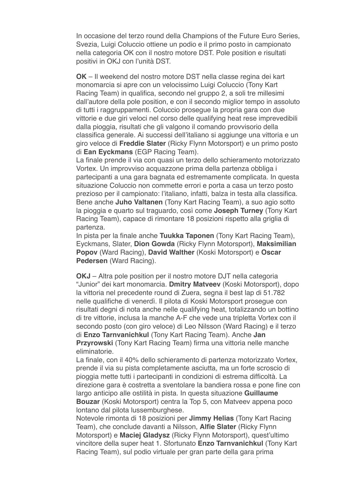In occasione del terzo round della Champions of the Future Euro Series, Svezia, Luigi Coluccio ottiene un podio e il primo posto in campionato nella categoria OK con il nostro motore DST. Pole position e risultati positivi in OKJ con l'unità DST.

**OK** – Il weekend del nostro motore DST nella classe regina dei kart monomarcia si apre con un velocissimo Luigi Coluccio (Tony Kart Racing Team) in qualifica, secondo nel gruppo 2, a soli tre millesimi dall'autore della pole position, e con il secondo miglior tempo in assoluto di tutti i raggruppamenti. Coluccio prosegue la propria gara con due vittorie e due giri veloci nel corso delle qualifying heat rese imprevedibili dalla pioggia, risultati che gli valgono il comando provvisorio della classifica generale. Ai successi dell'italiano si aggiunge una vittoria e un giro veloce di **Freddie Slater** (Ricky Flynn Motorsport) e un primo posto di **Ean Eyckmans** (EGP Racing Team).

La finale prende il via con quasi un terzo dello schieramento motorizzato Vortex. Un improvviso acquazzone prima della partenza obbliga i partecipanti a una gara bagnata ed estremamente complicata. In questa situazione Coluccio non commette errori e porta a casa un terzo posto prezioso per il campionato: l'italiano, infatti, balza in testa alla classifica. Bene anche **Juho Valtanen** (Tony Kart Racing Team), a suo agio sotto la pioggia e quarto sul traguardo, così come **Joseph Turney** (Tony Kart Racing Team), capace di rimontare 18 posizioni rispetto alla griglia di partenza.

In pista per la finale anche **Tuukka Taponen** (Tony Kart Racing Team), Eyckmans, Slater, **Dion Gowda** (Ricky Flynn Motorsport), **Maksimilian Popov** (Ward Racing), **David Walther** (Koski Motorsport) e **Oscar Pedersen** (Ward Racing).

**OKJ** – Altra pole position per il nostro motore DJT nella categoria "Junior" dei kart monomarcia. **Dmitry Matveev** (Koski Motorsport), dopo la vittoria nel precedente round di Zuera, segna il best lap di 51.782 nelle qualifiche di venerdì. Il pilota di Koski Motorsport prosegue con risultati degni di nota anche nelle qualifying heat, totalizzando un bottino di tre vittorie, inclusa la manche A-F che vede una tripletta Vortex con il secondo posto (con giro veloce) di Leo Nilsson (Ward Racing) e il terzo di **Enzo Tarnvanichkul** (Tony Kart Racing Team). Anche **Jan Przyrowski** (Tony Kart Racing Team) firma una vittoria nelle manche eliminatorie.

La finale, con il 40% dello schieramento di partenza motorizzato Vortex, prende il via su pista completamente asciutta, ma un forte scroscio di pioggia mette tutti i partecipanti in condizioni di estrema difficoltà. La direzione gara è costretta a sventolare la bandiera rossa e pone fine con largo anticipo alle ostilità in pista. In questa situazione **Guillaume Bouzar** (Koski Motorsport) centra la Top 5, con Matveev appena poco lontano dal pilota lussemburghese.

Notevole rimonta di 18 posizioni per **Jimmy Helias** (Tony Kart Racing Team), che conclude davanti a Nilsson, **Alfie Slater** (Ricky Flynn Motorsport) e **Maciej Gladysz** (Ricky Flynn Motorsport), quest'ultimo vincitore della super heat 1. Sfortunato **Enzo Tarnvanichkul** (Tony Kart Racing Team), sul podio virtuale per gran parte della gara prima